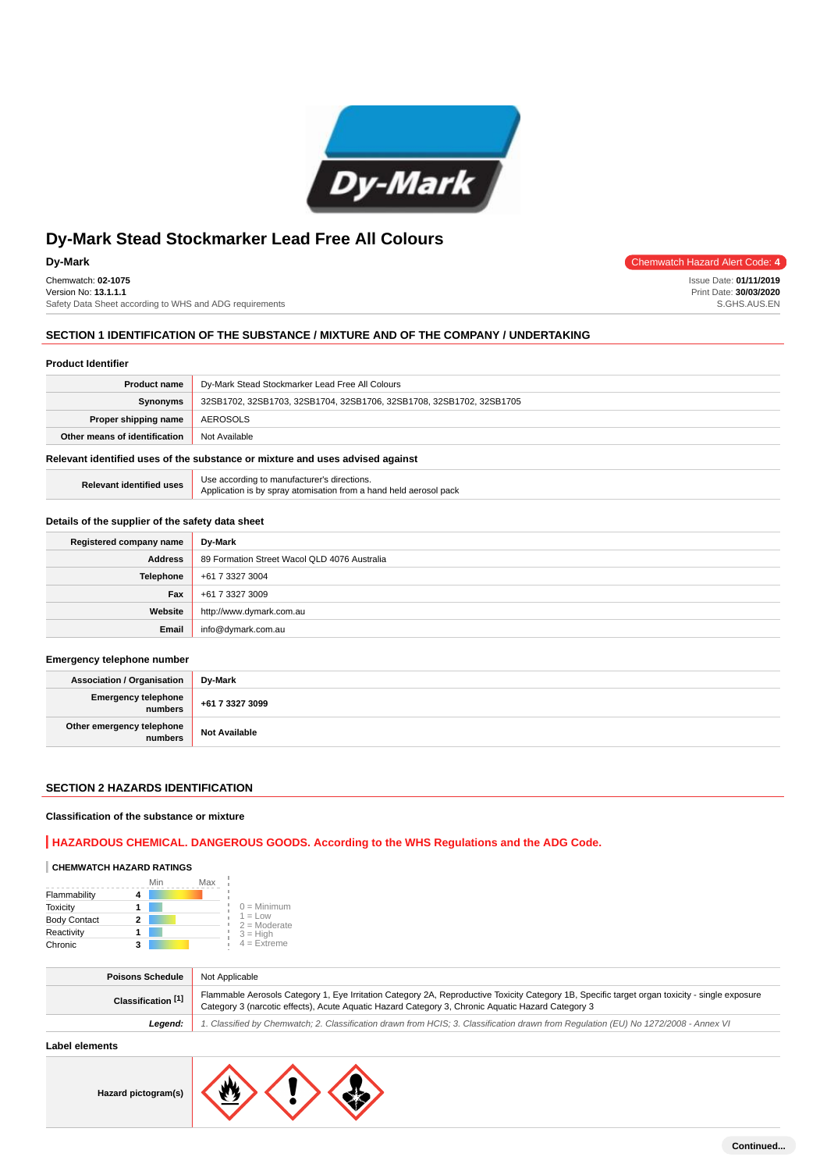

Chemwatch: **02-1075** Version No: **13.1.1.1** Safety Data Sheet according to WHS and ADG requirements

## **Dy-Mark** Chemwatch Hazard Alert Code: 4

Issue Date: **01/11/2019** Print Date: **30/03/2020** S.GHS.AUS.EN

# **SECTION 1 IDENTIFICATION OF THE SUBSTANCE / MIXTURE AND OF THE COMPANY / UNDERTAKING**

### **Product Identifier**

| <b>Product name</b>           | Dy-Mark Stead Stockmarker Lead Free All Colours                      |
|-------------------------------|----------------------------------------------------------------------|
| <b>Synonyms</b>               | 32SB1702, 32SB1703, 32SB1704, 32SB1706, 32SB1708, 32SB1702, 32SB1705 |
| Proper shipping name          | AEROSOLS                                                             |
| Other means of identification | Not Available                                                        |

#### **Relevant identified uses of the substance or mixture and uses advised against**

| <b>Relevant identified uses</b> | Use according to manufacturer's directions.<br>Application is by spray atomisation from a hand held aerosol pack |
|---------------------------------|------------------------------------------------------------------------------------------------------------------|
|                                 |                                                                                                                  |

#### **Details of the supplier of the safety data sheet**

| Registered company name | Dy-Mark                                      |
|-------------------------|----------------------------------------------|
| <b>Address</b>          | 89 Formation Street Wacol QLD 4076 Australia |
| <b>Telephone</b>        | +61 7 3327 3004                              |
| Fax                     | +61 7 3327 3009                              |
| Website                 | http://www.dymark.com.au                     |
| Email                   | info@dymark.com.au                           |

#### **Emergency telephone number**

| <b>Association / Organisation</b>            | Dv-Mark              |
|----------------------------------------------|----------------------|
| <b>Emergency telephone</b><br><b>numbers</b> | +61 7 3327 3099      |
| Other emergency telephone<br>numbers         | <b>Not Available</b> |

## **SECTION 2 HAZARDS IDENTIFICATION**

#### **Classification of the substance or mixture**

## **HAZARDOUS CHEMICAL. DANGEROUS GOODS. According to the WHS Regulations and the ADG Code.**

# **CHEMWATCH HAZARD RATINGS**

|                     |   | Min | Max |                              |
|---------------------|---|-----|-----|------------------------------|
| Flammability        |   |     |     |                              |
| <b>Toxicity</b>     |   |     |     | $0 =$ Minimum                |
| <b>Body Contact</b> | 2 |     |     | $1 = 1$ ow<br>$2 =$ Moderate |
| Reactivity          |   |     |     | $3 = H$ igh                  |
| Chronic             |   |     |     | $4 =$ Extreme                |

| <b>Poisons Schedule</b> | Not Applicable                                                                                                                                                                                                                                      |
|-------------------------|-----------------------------------------------------------------------------------------------------------------------------------------------------------------------------------------------------------------------------------------------------|
| Classification [1]      | Flammable Aerosols Category 1, Eye Irritation Category 2A, Reproductive Toxicity Category 1B, Specific target organ toxicity - single exposure<br>Category 3 (narcotic effects), Acute Aquatic Hazard Category 3, Chronic Aquatic Hazard Category 3 |
| Leaend:                 | 1. Classified by Chemwatch; 2. Classification drawn from HCIS; 3. Classification drawn from Regulation (EU) No 1272/2008 - Annex VI                                                                                                                 |
|                         |                                                                                                                                                                                                                                                     |

## **Label elements**

**Hazard pictogram(s)**

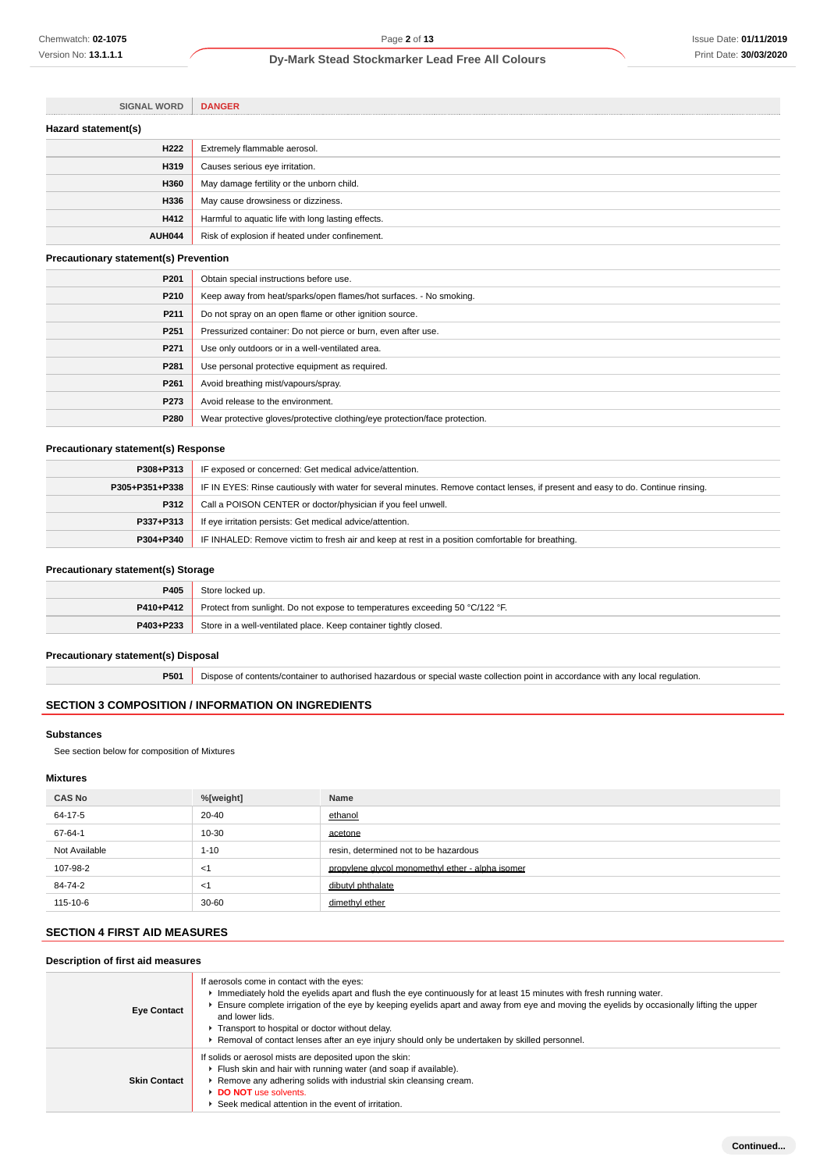| <b>DANGER</b>                                      |
|----------------------------------------------------|
|                                                    |
| Extremely flammable aerosol.                       |
| Causes serious eye irritation.                     |
| May damage fertility or the unborn child.          |
| May cause drowsiness or dizziness.                 |
| Harmful to aquatic life with long lasting effects. |
| Risk of explosion if heated under confinement.     |
|                                                    |

## **Precautionary statement(s) Prevention**

T)

| P201             | Obtain special instructions before use.                                    |
|------------------|----------------------------------------------------------------------------|
| P210             | Keep away from heat/sparks/open flames/hot surfaces. - No smoking.         |
| P <sub>211</sub> | Do not spray on an open flame or other ignition source.                    |
| P <sub>251</sub> | Pressurized container: Do not pierce or burn, even after use.              |
| P <sub>271</sub> | Use only outdoors or in a well-ventilated area.                            |
| P281             | Use personal protective equipment as required.                             |
| P <sub>261</sub> | Avoid breathing mist/vapours/spray.                                        |
| P273             | Avoid release to the environment.                                          |
| P280             | Wear protective gloves/protective clothing/eye protection/face protection. |

## **Precautionary statement(s) Response**

| P308+P313      | IF exposed or concerned: Get medical advice/attention.                                                                           |
|----------------|----------------------------------------------------------------------------------------------------------------------------------|
| P305+P351+P338 | IF IN EYES: Rinse cautiously with water for several minutes. Remove contact lenses, if present and easy to do. Continue rinsing. |
| P312           | Call a POISON CENTER or doctor/physician if you feel unwell.                                                                     |
| P337+P313      | If eye irritation persists: Get medical advice/attention.                                                                        |
| P304+P340      | IF INHALED: Remove victim to fresh air and keep at rest in a position comfortable for breathing.                                 |

## **Precautionary statement(s) Storage**

| P405      | Store locked up.                                                             |
|-----------|------------------------------------------------------------------------------|
| P410+P412 | Protect from sunlight. Do not expose to temperatures exceeding 50 °C/122 °F. |
| P403+P233 | Store in a well-ventilated place. Keep container tightly closed.             |

#### **Precautionary statement(s) Disposal**

**P501** Dispose of contents/container to authorised hazardous or special waste collection point in accordance with any local regulation.

## **SECTION 3 COMPOSITION / INFORMATION ON INGREDIENTS**

## **Substances**

See section below for composition of Mixtures

## **Mixtures**

| <b>CAS No</b> | %[weight] | Name                                             |
|---------------|-----------|--------------------------------------------------|
| 64-17-5       | $20 - 40$ | ethanol                                          |
| 67-64-1       | 10-30     | acetone                                          |
| Not Available | $1 - 10$  | resin, determined not to be hazardous            |
| 107-98-2      | $<$ 1     | propylene glycol monomethyl ether - alpha isomer |
| 84-74-2       | <1        | dibutyl phthalate                                |
| 115-10-6      | $30 - 60$ | dimethyl ether                                   |

# **SECTION 4 FIRST AID MEASURES**

## **Description of first aid measures**

| <b>Eye Contact</b>  | If aerosols come in contact with the eyes:<br>Inmediately hold the eyelids apart and flush the eye continuously for at least 15 minutes with fresh running water. |
|---------------------|-------------------------------------------------------------------------------------------------------------------------------------------------------------------|
|                     | Ensure complete irrigation of the eye by keeping eyelids apart and away from eye and moving the eyelids by occasionally lifting the upper<br>and lower lids.      |
|                     | Transport to hospital or doctor without delay.                                                                                                                    |
|                     | ► Removal of contact lenses after an eye injury should only be undertaken by skilled personnel.                                                                   |
| <b>Skin Contact</b> | If solids or aerosol mists are deposited upon the skin:                                                                                                           |
|                     | Flush skin and hair with running water (and soap if available).                                                                                                   |
|                     | Remove any adhering solids with industrial skin cleansing cream.                                                                                                  |
|                     | DO NOT use solvents.                                                                                                                                              |
|                     | ▶ Seek medical attention in the event of irritation.                                                                                                              |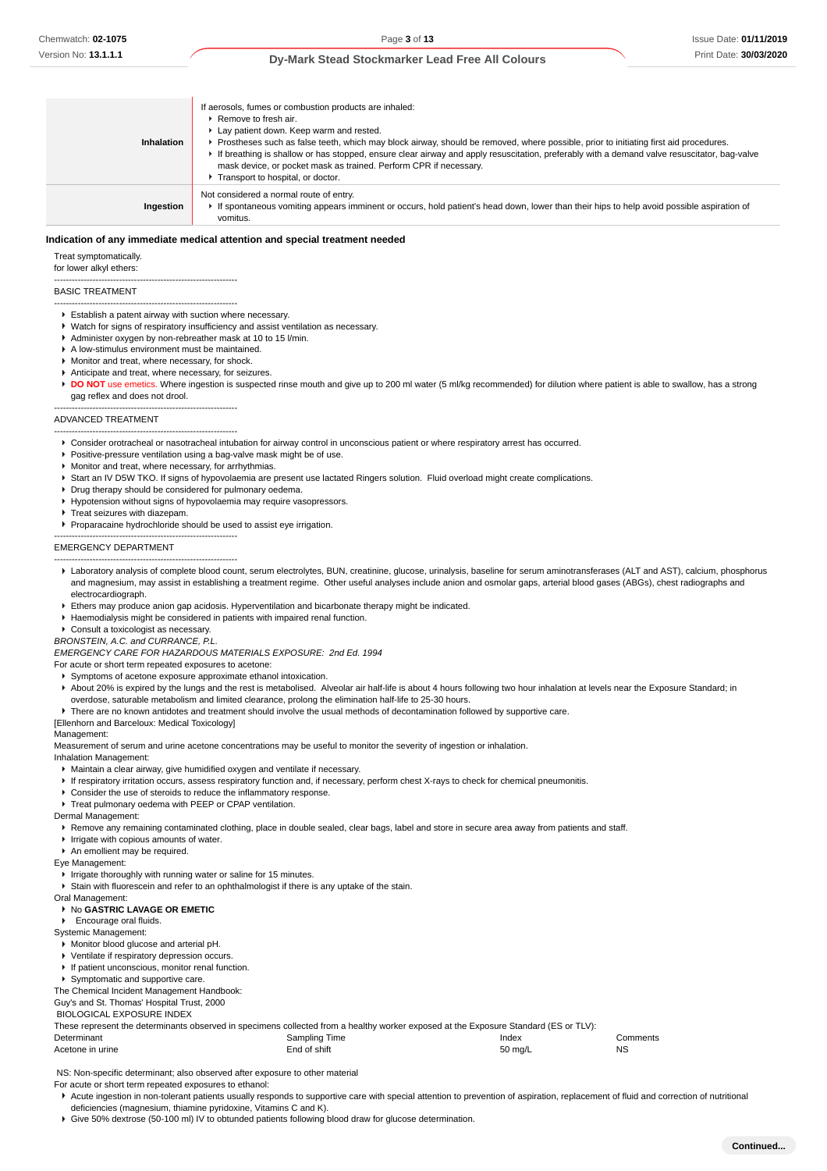#### **Dy-Mark Stead Stockmarker Lead Free All Colours**

| Inhalation | If aerosols, fumes or combustion products are inhaled:<br>$\blacktriangleright$ Remove to fresh air.<br>Lay patient down. Keep warm and rested.<br>▶ Prostheses such as false teeth, which may block airway, should be removed, where possible, prior to initiating first aid procedures.<br>If breathing is shallow or has stopped, ensure clear airway and apply resuscitation, preferably with a demand valve resuscitator, bag-valve<br>mask device, or pocket mask as trained. Perform CPR if necessary.<br>Transport to hospital, or doctor. |
|------------|----------------------------------------------------------------------------------------------------------------------------------------------------------------------------------------------------------------------------------------------------------------------------------------------------------------------------------------------------------------------------------------------------------------------------------------------------------------------------------------------------------------------------------------------------|
| Ingestion  | Not considered a normal route of entry.<br>► If spontaneous vomiting appears imminent or occurs, hold patient's head down, lower than their hips to help avoid possible aspiration of<br>vomitus.                                                                                                                                                                                                                                                                                                                                                  |

#### **Indication of any immediate medical attention and special treatment needed**

#### Treat symptomatically.

for lower alkyl ethers:

#### BASIC TREATMENT

- Establish a patent airway with suction where necessary.
- Watch for signs of respiratory insufficiency and assist ventilation as necessary.
- Administer oxygen by non-rebreather mask at 10 to 15 l/min.
- A low-stimulus environment must be maintained.

--------------------------------------------------------------

--------------------------------------------------------------

- Monitor and treat, where necessary, for shock.
- Anticipate and treat, where necessary, for seizures.
- DO NOT use emetics. Where ingestion is suspected rinse mouth and give up to 200 ml water (5 ml/kg recommended) for dilution where patient is able to swallow, has a strong gag reflex and does not drool.

#### -------------------------------------------------------------- ADVANCED TREATMENT

- -------------------------------------------------------------- Consider orotracheal or nasotracheal intubation for airway control in unconscious patient or where respiratory arrest has occurred.
- к Positive-pressure ventilation using a bag-valve mask might be of use.
- Monitor and treat, where necessary, for arrhythmias.
- Start an IV D5W TKO. If signs of hypovolaemia are present use lactated Ringers solution. Fluid overload might create complications.
- **P** Drug therapy should be considered for pulmonary oedema.
- Hypotension without signs of hypovolaemia may require vasopressors.
- **F** Treat seizures with diazepam.

--------------------------------------------------------------

Proparacaine hydrochloride should be used to assist eye irrigation.

#### EMERGENCY DEPARTMENT

- -------------------------------------------------------------- Laboratory analysis of complete blood count, serum electrolytes, BUN, creatinine, glucose, urinalysis, baseline for serum aminotransferases (ALT and AST), calcium, phosphorus and magnesium, may assist in establishing a treatment regime. Other useful analyses include anion and osmolar gaps, arterial blood gases (ABGs), chest radiographs and electrocardiograph.
- Ethers may produce anion gap acidosis. Hyperventilation and bicarbonate therapy might be indicated.
- Haemodialysis might be considered in patients with impaired renal function.
- Consult a toxicologist as necessary.

BRONSTEIN, A.C. and CURRANCE, P.L.

EMERGENCY CARE FOR HAZARDOUS MATERIALS EXPOSURE: 2nd Ed. 1994

For acute or short term repeated exposures to acetone:

- Symptoms of acetone exposure approximate ethanol intoxication.
- ► About 20% is expired by the lungs and the rest is metabolised. Alveolar air half-life is about 4 hours following two hour inhalation at levels near the Exposure Standard; in overdose, saturable metabolism and limited clearance, prolong the elimination half-life to 25-30 hours.
- There are no known antidotes and treatment should involve the usual methods of decontamination followed by supportive care.
- [Ellenhorn and Barceloux: Medical Toxicology]

#### Management:

Measurement of serum and urine acetone concentrations may be useful to monitor the severity of ingestion or inhalation.

Inhalation Management:

- Maintain a clear airway, give humidified oxygen and ventilate if necessary.
- If respiratory irritation occurs, assess respiratory function and, if necessary, perform chest X-rays to check for chemical pneumonitis.
- Consider the use of steroids to reduce the inflammatory response.
- **Treat pulmonary oedema with PEEP or CPAP ventilation.**

#### Dermal Management:

▶ Remove any remaining contaminated clothing, place in double sealed, clear bags, label and store in secure area away from patients and staff.

- Irrigate with copious amounts of water.
- An emollient may be required.
- Eye Management:

#### $\blacktriangleright$  Irrigate thoroughly with running water or saline for 15 minutes.

Stain with fluorescein and refer to an ophthalmologist if there is any uptake of the stain.

Oral Management:

#### No **GASTRIC LAVAGE OR EMETIC**

## **F** Encourage oral fluids.

Systemic Management:

- Monitor blood glucose and arterial pH.
- 
- Ventilate if respiratory depression occurs.
- If patient unconscious, monitor renal function. Symptomatic and supportive care.

The Chemical Incident Management Handbook:

Guy's and St. Thomas' Hospital Trust, 2000 BIOLOGICAL EXPOSURE INDEX

These represent the determinants observed in specimens collected from a healthy worker exposed at the Exposure Standard (ES or TLV): Determinant Comments Comments Comments Comments Sampling Time **Index** Index Comments

Acetone in urine **Acetone in the Contract of Solution** End of shift 50 mg/L NS 50 mg/L NS

NS: Non-specific determinant; also observed after exposure to other material

For acute or short term repeated exposures to ethanol:

▶ Acute ingestion in non-tolerant patients usually responds to supportive care with special attention to prevention of aspiration, replacement of fluid and correction of nutritional deficiencies (magnesium, thiamine pyridoxine, Vitamins C and K).

Give 50% dextrose (50-100 ml) IV to obtunded patients following blood draw for glucose determination.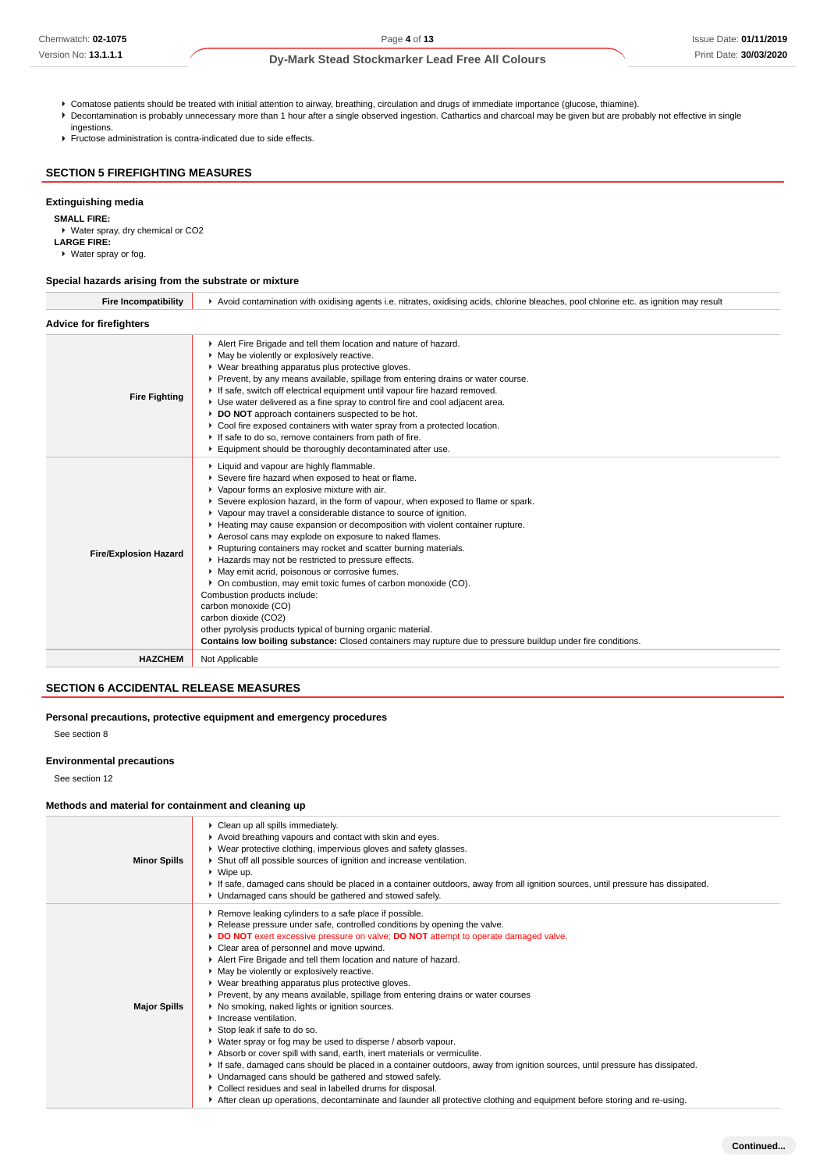## **Dy-Mark Stead Stockmarker Lead Free All Colours**

- Comatose patients should be treated with initial attention to airway, breathing, circulation and drugs of immediate importance (glucose, thiamine).
- Decontamination is probably unnecessary more than 1 hour after a single observed ingestion. Cathartics and charcoal may be given but are probably not effective in single ingestions.
- Fructose administration is contra-indicated due to side effects.

## **SECTION 5 FIREFIGHTING MEASURES**

#### **Extinguishing media**

**SMALL FIRE:**

- Water spray, dry chemical or CO2
- **LARGE FIRE:**
- Water spray or fog.

## **Special hazards arising from the substrate or mixture**

| <b>Fire Incompatibility</b>    | Avoid contamination with oxidising agents i.e. nitrates, oxidising acids, chlorine bleaches, pool chlorine etc. as ignition may result                                                                                                                                                                                                                                                                                                                                                                                                                                                                                                                                                                                                                                                                                                                                                                                                                            |  |  |  |
|--------------------------------|-------------------------------------------------------------------------------------------------------------------------------------------------------------------------------------------------------------------------------------------------------------------------------------------------------------------------------------------------------------------------------------------------------------------------------------------------------------------------------------------------------------------------------------------------------------------------------------------------------------------------------------------------------------------------------------------------------------------------------------------------------------------------------------------------------------------------------------------------------------------------------------------------------------------------------------------------------------------|--|--|--|
| <b>Advice for firefighters</b> |                                                                                                                                                                                                                                                                                                                                                                                                                                                                                                                                                                                                                                                                                                                                                                                                                                                                                                                                                                   |  |  |  |
| <b>Fire Fighting</b>           | Alert Fire Brigade and tell them location and nature of hazard.<br>• May be violently or explosively reactive.<br>▶ Wear breathing apparatus plus protective gloves.<br>Prevent, by any means available, spillage from entering drains or water course.<br>If safe, switch off electrical equipment until vapour fire hazard removed.<br>• Use water delivered as a fine spray to control fire and cool adjacent area.<br>DO NOT approach containers suspected to be hot.<br>► Cool fire exposed containers with water spray from a protected location.<br>If safe to do so, remove containers from path of fire.<br>Equipment should be thoroughly decontaminated after use.                                                                                                                                                                                                                                                                                     |  |  |  |
| <b>Fire/Explosion Hazard</b>   | Liquid and vapour are highly flammable.<br>Severe fire hazard when exposed to heat or flame.<br>• Vapour forms an explosive mixture with air.<br>Severe explosion hazard, in the form of vapour, when exposed to flame or spark.<br>▶ Vapour may travel a considerable distance to source of ignition.<br>► Heating may cause expansion or decomposition with violent container rupture.<br>Aerosol cans may explode on exposure to naked flames.<br>▶ Rupturing containers may rocket and scatter burning materials.<br>Hazards may not be restricted to pressure effects.<br>• May emit acrid, poisonous or corrosive fumes.<br>• On combustion, may emit toxic fumes of carbon monoxide (CO).<br>Combustion products include:<br>carbon monoxide (CO)<br>carbon dioxide (CO2)<br>other pyrolysis products typical of burning organic material.<br>Contains low boiling substance: Closed containers may rupture due to pressure buildup under fire conditions. |  |  |  |
| <b>HAZCHEM</b>                 | Not Applicable                                                                                                                                                                                                                                                                                                                                                                                                                                                                                                                                                                                                                                                                                                                                                                                                                                                                                                                                                    |  |  |  |
|                                |                                                                                                                                                                                                                                                                                                                                                                                                                                                                                                                                                                                                                                                                                                                                                                                                                                                                                                                                                                   |  |  |  |

## **SECTION 6 ACCIDENTAL RELEASE MEASURES**

**Personal precautions, protective equipment and emergency procedures**

See section 8

#### **Environmental precautions**

See section 12

#### **Methods and material for containment and cleaning up**

| <b>Minor Spills</b> | Clean up all spills immediately.<br>Avoid breathing vapours and contact with skin and eyes.<br>▶ Wear protective clothing, impervious gloves and safety glasses.<br>Shut off all possible sources of ignition and increase ventilation.<br>▶ Wipe up.<br>If safe, damaged cans should be placed in a container outdoors, away from all ignition sources, until pressure has dissipated.<br>• Undamaged cans should be gathered and stowed safely.                                                                                                                                                                                                                                                                                                                                                                                                                                                                                                                                                                                                                                                                                                                                               |
|---------------------|-------------------------------------------------------------------------------------------------------------------------------------------------------------------------------------------------------------------------------------------------------------------------------------------------------------------------------------------------------------------------------------------------------------------------------------------------------------------------------------------------------------------------------------------------------------------------------------------------------------------------------------------------------------------------------------------------------------------------------------------------------------------------------------------------------------------------------------------------------------------------------------------------------------------------------------------------------------------------------------------------------------------------------------------------------------------------------------------------------------------------------------------------------------------------------------------------|
| <b>Major Spills</b> | Remove leaking cylinders to a safe place if possible.<br>▶ Release pressure under safe, controlled conditions by opening the valve.<br>DO NOT exert excessive pressure on valve; DO NOT attempt to operate damaged valve.<br>Clear area of personnel and move upwind.<br>Alert Fire Brigade and tell them location and nature of hazard.<br>May be violently or explosively reactive.<br>▶ Wear breathing apparatus plus protective gloves.<br>▶ Prevent, by any means available, spillage from entering drains or water courses<br>▶ No smoking, naked lights or ignition sources.<br>$\blacktriangleright$ Increase ventilation.<br>Stop leak if safe to do so.<br>• Water spray or fog may be used to disperse / absorb vapour.<br>Absorb or cover spill with sand, earth, inert materials or vermiculite.<br>If safe, damaged cans should be placed in a container outdoors, away from ignition sources, until pressure has dissipated.<br>• Undamaged cans should be gathered and stowed safely.<br>• Collect residues and seal in labelled drums for disposal.<br>After clean up operations, decontaminate and launder all protective clothing and equipment before storing and re-using. |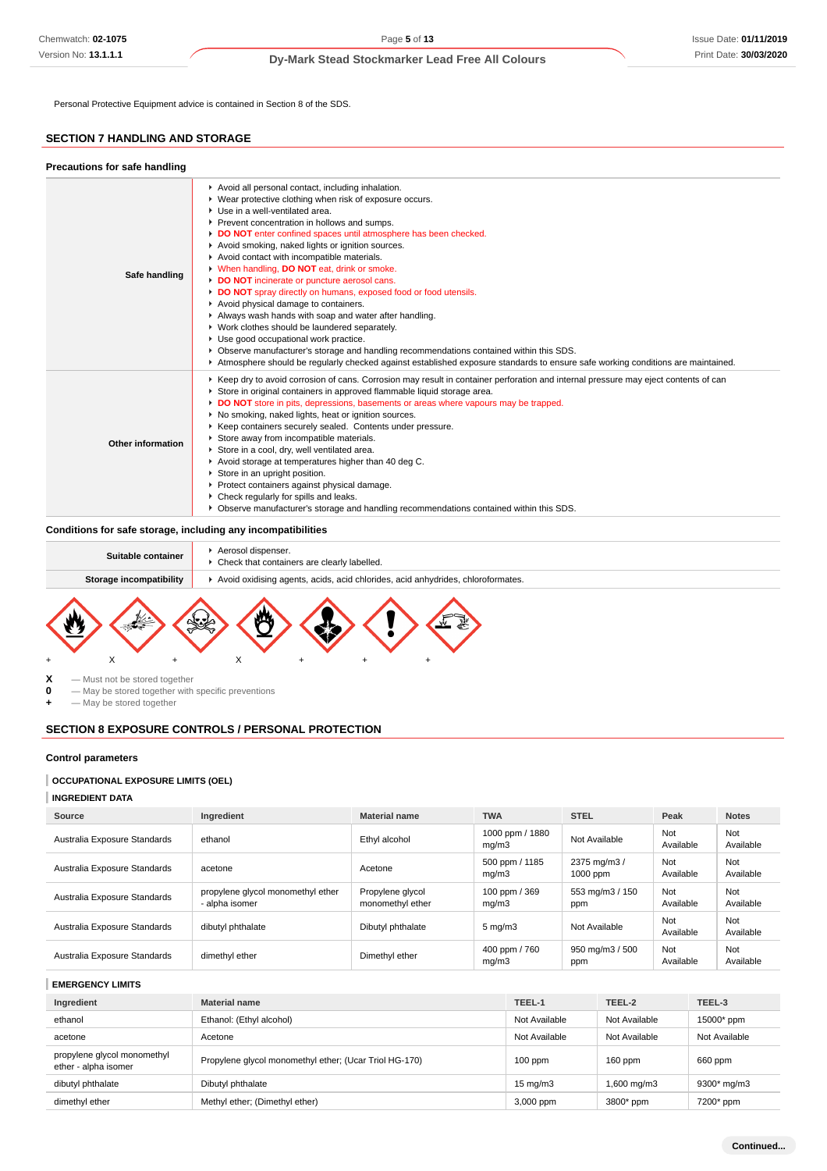Personal Protective Equipment advice is contained in Section 8 of the SDS.

## **SECTION 7 HANDLING AND STORAGE**

| Precautions for safe handling |                                                                                                                                                                                                                                                                                                                                                                                                                                                                                                                                                                                                                                                                                                                                                                                                                                                                                                                                                                       |
|-------------------------------|-----------------------------------------------------------------------------------------------------------------------------------------------------------------------------------------------------------------------------------------------------------------------------------------------------------------------------------------------------------------------------------------------------------------------------------------------------------------------------------------------------------------------------------------------------------------------------------------------------------------------------------------------------------------------------------------------------------------------------------------------------------------------------------------------------------------------------------------------------------------------------------------------------------------------------------------------------------------------|
| Safe handling                 | Avoid all personal contact, including inhalation.<br>• Wear protective clothing when risk of exposure occurs.<br>▶ Use in a well-ventilated area.<br>▶ Prevent concentration in hollows and sumps.<br>DO NOT enter confined spaces until atmosphere has been checked.<br>Avoid smoking, naked lights or ignition sources.<br>Avoid contact with incompatible materials.<br>V When handling, DO NOT eat, drink or smoke.<br>DO NOT incinerate or puncture aerosol cans.<br>DO NOT spray directly on humans, exposed food or food utensils.<br>Avoid physical damage to containers.<br>Always wash hands with soap and water after handling.<br>▶ Work clothes should be laundered separately.<br>• Use good occupational work practice.<br>▶ Observe manufacturer's storage and handling recommendations contained within this SDS.<br>Atmosphere should be regularly checked against established exposure standards to ensure safe working conditions are maintained. |
| Other information             | ► Keep dry to avoid corrosion of cans. Corrosion may result in container perforation and internal pressure may eject contents of can<br>Store in original containers in approved flammable liquid storage area.<br>DO NOT store in pits, depressions, basements or areas where vapours may be trapped.<br>▶ No smoking, naked lights, heat or ignition sources.<br>▶ Keep containers securely sealed. Contents under pressure.<br>Store away from incompatible materials.<br>Store in a cool, dry, well ventilated area.<br>Avoid storage at temperatures higher than 40 deg C.<br>Store in an upright position.<br>▶ Protect containers against physical damage.<br>▶ Check regularly for spills and leaks.<br>► Observe manufacturer's storage and handling recommendations contained within this SDS.                                                                                                                                                              |

## **Conditions for safe storage, including any incompatibilities**

| Suitable container      | Aerosol dispenser.<br>• Check that containers are clearly labelled.             |
|-------------------------|---------------------------------------------------------------------------------|
| Storage incompatibility | Avoid oxidising agents, acids, acid chlorides, acid anhydrides, chloroformates. |
|                         |                                                                                 |



- 
- **X** Must not be stored together<br>**0** May be stored together with — May be stored together with specific preventions

**+** — May be stored together

### **SECTION 8 EXPOSURE CONTROLS / PERSONAL PROTECTION**

## **Control parameters**

#### **OCCUPATIONAL EXPOSURE LIMITS (OEL)**

**INGREDIENT DATA**

| Source                       | Ingredient                                          | <b>Material name</b>                 | <b>TWA</b>               | <b>STEL</b>              | Peak             | <b>Notes</b>     |
|------------------------------|-----------------------------------------------------|--------------------------------------|--------------------------|--------------------------|------------------|------------------|
| Australia Exposure Standards | ethanol                                             | Ethyl alcohol                        | 1000 ppm / 1880<br>mq/m3 | Not Available            | Not<br>Available | Not<br>Available |
| Australia Exposure Standards | acetone                                             | Acetone                              | 500 ppm / 1185<br>mq/m3  | 2375 mg/m3 /<br>1000 ppm | Not<br>Available | Not<br>Available |
| Australia Exposure Standards | propylene glycol monomethyl ether<br>- alpha isomer | Propylene glycol<br>monomethyl ether | 100 ppm / 369<br>mq/m3   | 553 mg/m3 / 150<br>ppm   | Not<br>Available | Not<br>Available |
| Australia Exposure Standards | dibutyl phthalate                                   | Dibutyl phthalate                    | $5 \text{ mg/m}$ 3       | Not Available            | Not<br>Available | Not<br>Available |
| Australia Exposure Standards | dimethyl ether                                      | Dimethyl ether                       | 400 ppm / 760<br>mq/m3   | 950 mg/m3 / 500<br>ppm   | Not<br>Available | Not<br>Available |

## **EMERGENCY LIMITS**

| Ingredient                                          | <b>Material name</b>                                   | TEEL-1            | TEEL-2        | TEEL-3        |
|-----------------------------------------------------|--------------------------------------------------------|-------------------|---------------|---------------|
| ethanol                                             | Ethanol: (Ethyl alcohol)                               | Not Available     | Not Available | 15000* ppm    |
| acetone                                             | Acetone                                                | Not Available     | Not Available | Not Available |
| propylene glycol monomethyl<br>ether - alpha isomer | Propylene glycol monomethyl ether; (Ucar Triol HG-170) | $100$ ppm         | $160$ ppm     | 660 ppm       |
| dibutyl phthalate                                   | Dibutyl phthalate                                      | $15 \text{ mg/m}$ | 1,600 mg/m3   | 9300* mg/m3   |
| dimethyl ether                                      | Methyl ether; (Dimethyl ether)                         | 3,000 ppm         | 3800* ppm     | 7200* ppm     |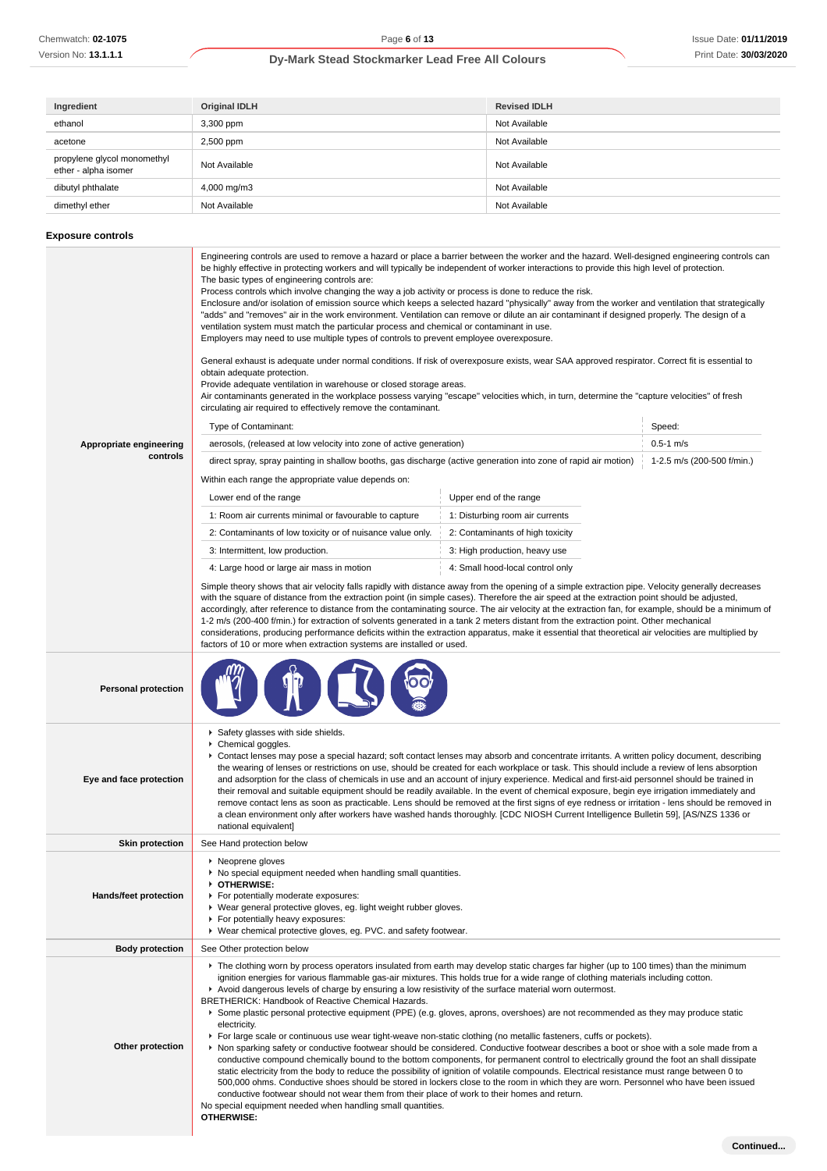| Ingredient                                          | <b>Original IDLH</b> | <b>Revised IDLH</b> |
|-----------------------------------------------------|----------------------|---------------------|
| ethanol                                             | 3,300 ppm            | Not Available       |
| acetone                                             | 2,500 ppm            | Not Available       |
| propylene glycol monomethyl<br>ether - alpha isomer | Not Available        | Not Available       |
| dibutyl phthalate                                   | 4,000 mg/m3          | Not Available       |
| dimethyl ether                                      | Not Available        | Not Available       |

# **Exposure controls**

|                            | Engineering controls are used to remove a hazard or place a barrier between the worker and the hazard. Well-designed engineering controls can<br>be highly effective in protecting workers and will typically be independent of worker interactions to provide this high level of protection.<br>The basic types of engineering controls are:<br>Process controls which involve changing the way a job activity or process is done to reduce the risk.<br>Enclosure and/or isolation of emission source which keeps a selected hazard "physically" away from the worker and ventilation that strategically<br>"adds" and "removes" air in the work environment. Ventilation can remove or dilute an air contaminant if designed properly. The design of a<br>ventilation system must match the particular process and chemical or contaminant in use.<br>Employers may need to use multiple types of controls to prevent employee overexposure.<br>General exhaust is adequate under normal conditions. If risk of overexposure exists, wear SAA approved respirator. Correct fit is essential to<br>obtain adequate protection.<br>Provide adequate ventilation in warehouse or closed storage areas.<br>Air contaminants generated in the workplace possess varying "escape" velocities which, in turn, determine the "capture velocities" of fresh<br>circulating air required to effectively remove the contaminant.                                                                |                                  |                            |  |  |
|----------------------------|-----------------------------------------------------------------------------------------------------------------------------------------------------------------------------------------------------------------------------------------------------------------------------------------------------------------------------------------------------------------------------------------------------------------------------------------------------------------------------------------------------------------------------------------------------------------------------------------------------------------------------------------------------------------------------------------------------------------------------------------------------------------------------------------------------------------------------------------------------------------------------------------------------------------------------------------------------------------------------------------------------------------------------------------------------------------------------------------------------------------------------------------------------------------------------------------------------------------------------------------------------------------------------------------------------------------------------------------------------------------------------------------------------------------------------------------------------------------------------------------|----------------------------------|----------------------------|--|--|
|                            | Type of Contaminant:                                                                                                                                                                                                                                                                                                                                                                                                                                                                                                                                                                                                                                                                                                                                                                                                                                                                                                                                                                                                                                                                                                                                                                                                                                                                                                                                                                                                                                                                    |                                  | Speed:                     |  |  |
| Appropriate engineering    | aerosols, (released at low velocity into zone of active generation)                                                                                                                                                                                                                                                                                                                                                                                                                                                                                                                                                                                                                                                                                                                                                                                                                                                                                                                                                                                                                                                                                                                                                                                                                                                                                                                                                                                                                     |                                  | $0.5 - 1$ m/s              |  |  |
| controls                   | direct spray, spray painting in shallow booths, gas discharge (active generation into zone of rapid air motion)                                                                                                                                                                                                                                                                                                                                                                                                                                                                                                                                                                                                                                                                                                                                                                                                                                                                                                                                                                                                                                                                                                                                                                                                                                                                                                                                                                         |                                  | 1-2.5 m/s (200-500 f/min.) |  |  |
|                            | Within each range the appropriate value depends on:                                                                                                                                                                                                                                                                                                                                                                                                                                                                                                                                                                                                                                                                                                                                                                                                                                                                                                                                                                                                                                                                                                                                                                                                                                                                                                                                                                                                                                     |                                  |                            |  |  |
|                            | Lower end of the range                                                                                                                                                                                                                                                                                                                                                                                                                                                                                                                                                                                                                                                                                                                                                                                                                                                                                                                                                                                                                                                                                                                                                                                                                                                                                                                                                                                                                                                                  | Upper end of the range           |                            |  |  |
|                            | 1: Room air currents minimal or favourable to capture                                                                                                                                                                                                                                                                                                                                                                                                                                                                                                                                                                                                                                                                                                                                                                                                                                                                                                                                                                                                                                                                                                                                                                                                                                                                                                                                                                                                                                   | 1: Disturbing room air currents  |                            |  |  |
|                            | 2: Contaminants of low toxicity or of nuisance value only.                                                                                                                                                                                                                                                                                                                                                                                                                                                                                                                                                                                                                                                                                                                                                                                                                                                                                                                                                                                                                                                                                                                                                                                                                                                                                                                                                                                                                              | 2: Contaminants of high toxicity |                            |  |  |
|                            | 3: Intermittent, low production.                                                                                                                                                                                                                                                                                                                                                                                                                                                                                                                                                                                                                                                                                                                                                                                                                                                                                                                                                                                                                                                                                                                                                                                                                                                                                                                                                                                                                                                        | 3: High production, heavy use    |                            |  |  |
|                            | 4: Large hood or large air mass in motion                                                                                                                                                                                                                                                                                                                                                                                                                                                                                                                                                                                                                                                                                                                                                                                                                                                                                                                                                                                                                                                                                                                                                                                                                                                                                                                                                                                                                                               | 4: Small hood-local control only |                            |  |  |
|                            | Simple theory shows that air velocity falls rapidly with distance away from the opening of a simple extraction pipe. Velocity generally decreases<br>with the square of distance from the extraction point (in simple cases). Therefore the air speed at the extraction point should be adjusted,<br>accordingly, after reference to distance from the contaminating source. The air velocity at the extraction fan, for example, should be a minimum of<br>1-2 m/s (200-400 f/min.) for extraction of solvents generated in a tank 2 meters distant from the extraction point. Other mechanical<br>considerations, producing performance deficits within the extraction apparatus, make it essential that theoretical air velocities are multiplied by<br>factors of 10 or more when extraction systems are installed or used.                                                                                                                                                                                                                                                                                                                                                                                                                                                                                                                                                                                                                                                         |                                  |                            |  |  |
| <b>Personal protection</b> |                                                                                                                                                                                                                                                                                                                                                                                                                                                                                                                                                                                                                                                                                                                                                                                                                                                                                                                                                                                                                                                                                                                                                                                                                                                                                                                                                                                                                                                                                         |                                  |                            |  |  |
| Eye and face protection    | Safety glasses with side shields.<br>Chemical goggles.<br>▶ Contact lenses may pose a special hazard; soft contact lenses may absorb and concentrate irritants. A written policy document, describing<br>the wearing of lenses or restrictions on use, should be created for each workplace or task. This should include a review of lens absorption<br>and adsorption for the class of chemicals in use and an account of injury experience. Medical and first-aid personnel should be trained in<br>their removal and suitable equipment should be readily available. In the event of chemical exposure, begin eye irrigation immediately and<br>remove contact lens as soon as practicable. Lens should be removed at the first signs of eye redness or irritation - lens should be removed in<br>a clean environment only after workers have washed hands thoroughly. [CDC NIOSH Current Intelligence Bulletin 59], [AS/NZS 1336 or<br>national equivalent]                                                                                                                                                                                                                                                                                                                                                                                                                                                                                                                         |                                  |                            |  |  |
| <b>Skin protection</b>     | See Hand protection below                                                                                                                                                                                                                                                                                                                                                                                                                                                                                                                                                                                                                                                                                                                                                                                                                                                                                                                                                                                                                                                                                                                                                                                                                                                                                                                                                                                                                                                               |                                  |                            |  |  |
| Hands/feet protection      | ▶ Neoprene gloves<br>No special equipment needed when handling small quantities.<br>OTHERWISE:<br>For potentially moderate exposures:<br>▶ Wear general protective gloves, eg. light weight rubber gloves.<br>For potentially heavy exposures:<br>▶ Wear chemical protective gloves, eg. PVC. and safety footwear.                                                                                                                                                                                                                                                                                                                                                                                                                                                                                                                                                                                                                                                                                                                                                                                                                                                                                                                                                                                                                                                                                                                                                                      |                                  |                            |  |  |
| <b>Body protection</b>     | See Other protection below                                                                                                                                                                                                                                                                                                                                                                                                                                                                                                                                                                                                                                                                                                                                                                                                                                                                                                                                                                                                                                                                                                                                                                                                                                                                                                                                                                                                                                                              |                                  |                            |  |  |
| Other protection           | ► The clothing worn by process operators insulated from earth may develop static charges far higher (up to 100 times) than the minimum<br>ignition energies for various flammable gas-air mixtures. This holds true for a wide range of clothing materials including cotton.<br>▶ Avoid dangerous levels of charge by ensuring a low resistivity of the surface material worn outermost.<br>BRETHERICK: Handbook of Reactive Chemical Hazards.<br>Some plastic personal protective equipment (PPE) (e.g. gloves, aprons, overshoes) are not recommended as they may produce static<br>electricity.<br>For large scale or continuous use wear tight-weave non-static clothing (no metallic fasteners, cuffs or pockets).<br>▶ Non sparking safety or conductive footwear should be considered. Conductive footwear describes a boot or shoe with a sole made from a<br>conductive compound chemically bound to the bottom components, for permanent control to electrically ground the foot an shall dissipate<br>static electricity from the body to reduce the possibility of ignition of volatile compounds. Electrical resistance must range between 0 to<br>500,000 ohms. Conductive shoes should be stored in lockers close to the room in which they are worn. Personnel who have been issued<br>conductive footwear should not wear them from their place of work to their homes and return.<br>No special equipment needed when handling small quantities.<br><b>OTHERWISE:</b> |                                  |                            |  |  |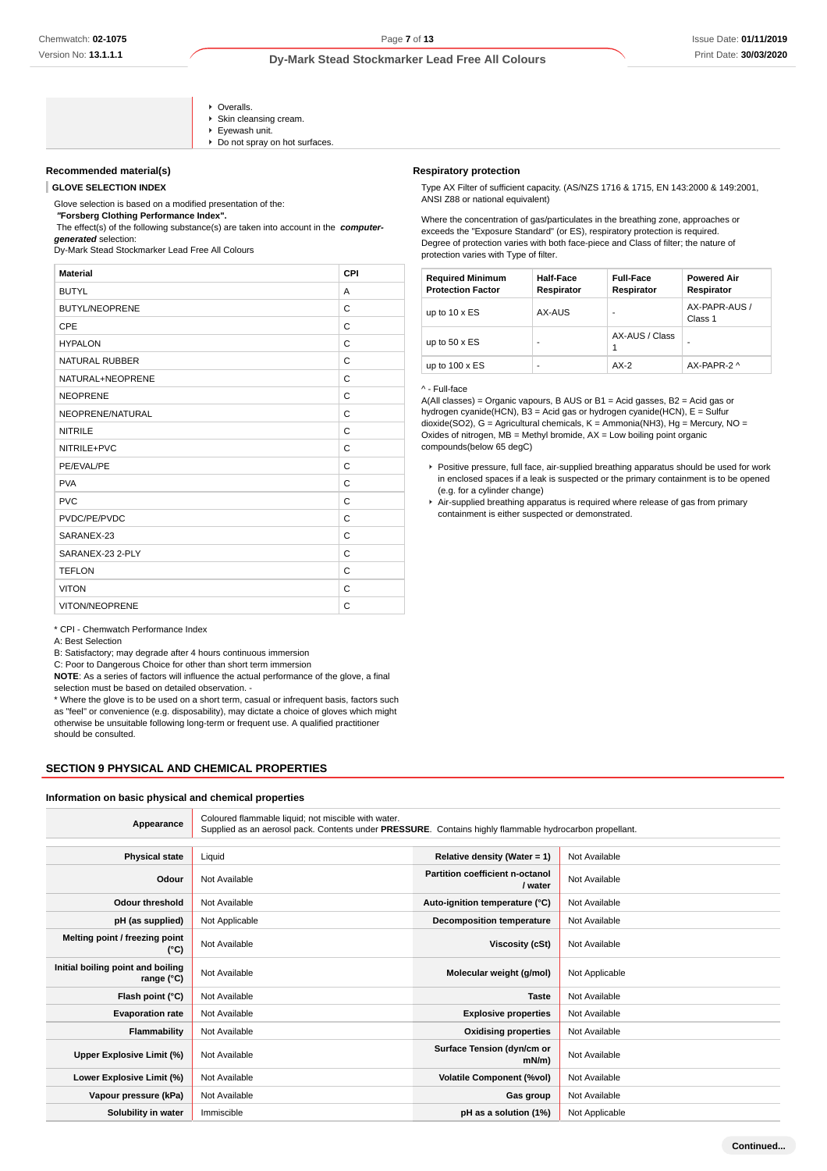- Overalls. Skin cleansing cream. ▶ Evewash unit. Do not spray on hot surfaces.
- **Recommended material(s)**

**GLOVE SELECTION INDEX**

Glove selection is based on a modified presentation of the:

 **"Forsberg Clothing Performance Index".**

 The effect(s) of the following substance(s) are taken into account in the **computergenerated** selection:

Dy-Mark Stead Stockmarker Lead Free All Colours

| <b>Material</b>       | CPI |
|-----------------------|-----|
| <b>BUTYL</b>          | A   |
| <b>BUTYL/NEOPRENE</b> | C   |
| CPE                   | C   |
| <b>HYPALON</b>        | C   |
| <b>NATURAL RUBBER</b> | C   |
| NATURAL+NEOPRENE      | C   |
| <b>NEOPRENE</b>       | C   |
| NEOPRENE/NATURAL      | C   |
| <b>NITRILE</b>        | C   |
| NITRILE+PVC           | C   |
| PE/EVAL/PE            | C   |
| <b>PVA</b>            | C   |
| <b>PVC</b>            | C   |
| PVDC/PE/PVDC          | C   |
| SARANEX-23            | C   |
| SARANEX-23 2-PLY      | C   |
| <b>TEFLON</b>         | C   |
| <b>VITON</b>          | C   |
| VITON/NEOPRENE        | C   |
|                       |     |

\* CPI - Chemwatch Performance Index

A: Best Selection

B: Satisfactory; may degrade after 4 hours continuous immersion

C: Poor to Dangerous Choice for other than short term immersion

**NOTE**: As a series of factors will influence the actual performance of the glove, a final selection must be based on detailed observation. -

\* Where the glove is to be used on a short term, casual or infrequent basis, factors such as "feel" or convenience (e.g. disposability), may dictate a choice of gloves which might otherwise be unsuitable following long-term or frequent use. A qualified practitioner should be consulted.

## **SECTION 9 PHYSICAL AND CHEMICAL PROPERTIES**

#### **Information on basic physical and chemical properties**

| Appearance                                      | Coloured flammable liquid; not miscible with water.<br>Supplied as an aerosol pack. Contents under PRESSURE. Contains highly flammable hydrocarbon propellant. |                                            |                |  |
|-------------------------------------------------|----------------------------------------------------------------------------------------------------------------------------------------------------------------|--------------------------------------------|----------------|--|
|                                                 |                                                                                                                                                                |                                            |                |  |
| <b>Physical state</b>                           | Liquid                                                                                                                                                         | Relative density (Water = 1)               | Not Available  |  |
| Odour                                           | Not Available                                                                                                                                                  | Partition coefficient n-octanol<br>/ water | Not Available  |  |
| <b>Odour threshold</b>                          | Not Available                                                                                                                                                  | Auto-ignition temperature (°C)             | Not Available  |  |
| pH (as supplied)                                | Not Applicable                                                                                                                                                 | <b>Decomposition temperature</b>           | Not Available  |  |
| Melting point / freezing point<br>(°C)          | Not Available                                                                                                                                                  | Viscosity (cSt)                            | Not Available  |  |
| Initial boiling point and boiling<br>range (°C) | Not Available                                                                                                                                                  | Molecular weight (g/mol)                   | Not Applicable |  |
| Flash point (°C)                                | Not Available                                                                                                                                                  | <b>Taste</b>                               | Not Available  |  |
| <b>Evaporation rate</b>                         | Not Available                                                                                                                                                  | <b>Explosive properties</b>                | Not Available  |  |
| Flammability                                    | Not Available                                                                                                                                                  | <b>Oxidising properties</b>                | Not Available  |  |
| Upper Explosive Limit (%)                       | Not Available                                                                                                                                                  | Surface Tension (dyn/cm or<br>$mN/m$ )     | Not Available  |  |
| Lower Explosive Limit (%)                       | Not Available                                                                                                                                                  | <b>Volatile Component (%vol)</b>           | Not Available  |  |
| Vapour pressure (kPa)                           | Not Available                                                                                                                                                  | Gas group                                  | Not Available  |  |
| Solubility in water                             | Immiscible                                                                                                                                                     | pH as a solution (1%)                      | Not Applicable |  |

#### **Respiratory protection**

Type AX Filter of sufficient capacity. (AS/NZS 1716 & 1715, EN 143:2000 & 149:2001, ANSI Z88 or national equivalent)

Where the concentration of gas/particulates in the breathing zone, approaches or exceeds the "Exposure Standard" (or ES), respiratory protection is required. Degree of protection varies with both face-piece and Class of filter; the nature of protection varies with Type of filter.

| <b>Required Minimum</b><br><b>Protection Factor</b> | Half-Face<br>Respirator | <b>Full-Face</b><br>Respirator | <b>Powered Air</b><br>Respirator |
|-----------------------------------------------------|-------------------------|--------------------------------|----------------------------------|
| up to $10 \times ES$                                | AX-AUS                  |                                | AX-PAPR-AUS /<br>Class 1         |
| up to $50 \times ES$                                | ۰                       | AX-AUS / Class                 | -                                |
| up to $100 \times ES$                               | ۰                       | $AX-2$                         | AX-PAPR-2 ^                      |

#### ^ - Full-face

A(All classes) = Organic vapours, B AUS or B1 = Acid gasses, B2 = Acid gas or hydrogen cyanide(HCN), B3 = Acid gas or hydrogen cyanide(HCN), E = Sulfur dioxide(SO2), G = Agricultural chemicals, K = Ammonia(NH3), Hg = Mercury, NO = Oxides of nitrogen, MB = Methyl bromide, AX = Low boiling point organic compounds(below 65 degC)

- Positive pressure, full face, air-supplied breathing apparatus should be used for work in enclosed spaces if a leak is suspected or the primary containment is to be opened (e.g. for a cylinder change)
- Air-supplied breathing apparatus is required where release of gas from primary containment is either suspected or demonstrated.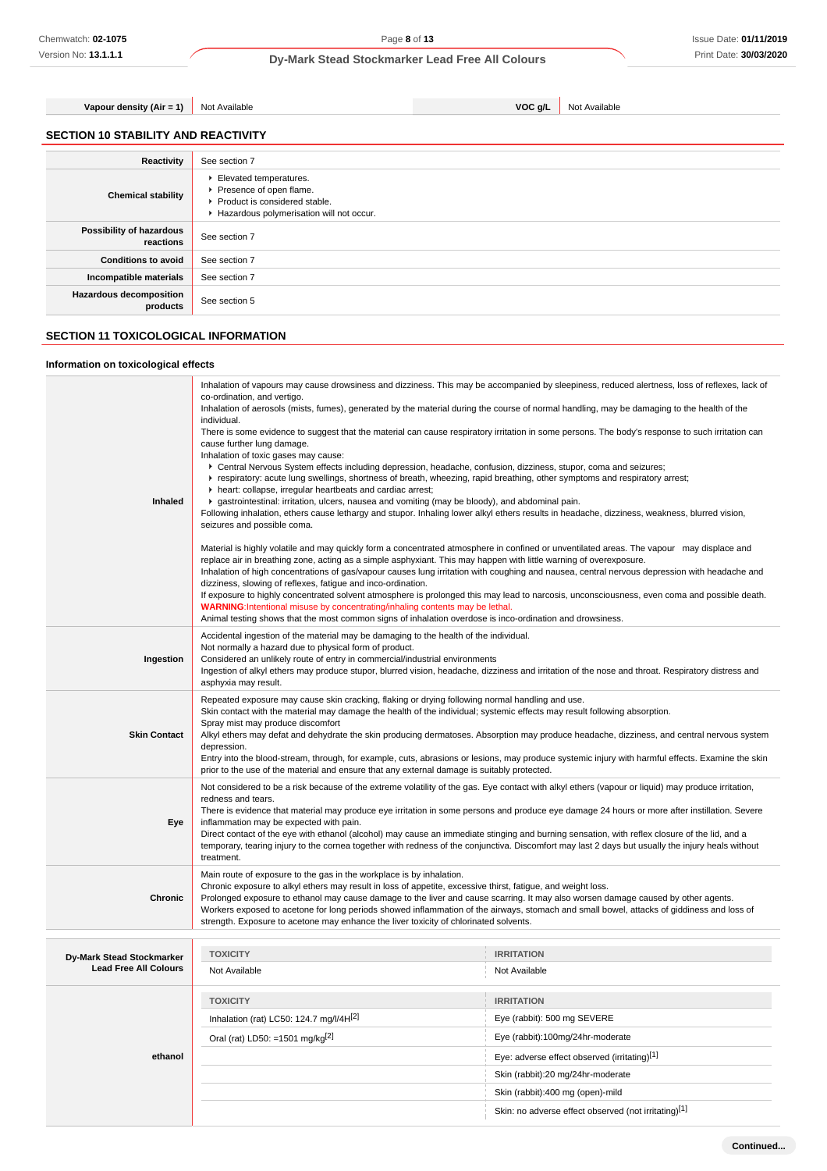**Continued...**

**Dy-Mark Stead Stockmarker Lead Free All Colours**

**Vapour density (Air = 1)** Not Available **VOC g/L** Not Available

|  | <b>SECTION 10 STABILITY AND REACTIVITY</b> |
|--|--------------------------------------------|
|  |                                            |

| Reactivity                                 | See section 7                                                                                                                    |
|--------------------------------------------|----------------------------------------------------------------------------------------------------------------------------------|
| <b>Chemical stability</b>                  | Elevated temperatures.<br>Presence of open flame.<br>▶ Product is considered stable.<br>Hazardous polymerisation will not occur. |
| Possibility of hazardous<br>reactions      | See section 7                                                                                                                    |
| <b>Conditions to avoid</b>                 | See section 7                                                                                                                    |
| Incompatible materials                     | See section 7                                                                                                                    |
| <b>Hazardous decomposition</b><br>products | See section 5                                                                                                                    |

# **SECTION 11 TOXICOLOGICAL INFORMATION**

# **Information on toxicological effects**

| Inhaled                                                          | Inhalation of vapours may cause drowsiness and dizziness. This may be accompanied by sleepiness, reduced alertness, loss of reflexes, lack of<br>co-ordination, and vertigo.<br>Inhalation of aerosols (mists, fumes), generated by the material during the course of normal handling, may be damaging to the health of the<br>individual.<br>There is some evidence to suggest that the material can cause respiratory irritation in some persons. The body's response to such irritation can<br>cause further lung damage.<br>Inhalation of toxic gases may cause:<br>▶ Central Nervous System effects including depression, headache, confusion, dizziness, stupor, coma and seizures;<br>F respiratory: acute lung swellings, shortness of breath, wheezing, rapid breathing, other symptoms and respiratory arrest;<br>h heart: collapse, irregular heartbeats and cardiac arrest;<br>▶ gastrointestinal: irritation, ulcers, nausea and vomiting (may be bloody), and abdominal pain.<br>Following inhalation, ethers cause lethargy and stupor. Inhaling lower alkyl ethers results in headache, dizziness, weakness, blurred vision,<br>seizures and possible coma.<br>Material is highly volatile and may quickly form a concentrated atmosphere in confined or unventilated areas. The vapour may displace and<br>replace air in breathing zone, acting as a simple asphyxiant. This may happen with little warning of overexposure.<br>Inhalation of high concentrations of gas/vapour causes lung irritation with coughing and nausea, central nervous depression with headache and<br>dizziness, slowing of reflexes, fatigue and inco-ordination.<br>If exposure to highly concentrated solvent atmosphere is prolonged this may lead to narcosis, unconsciousness, even coma and possible death.<br>WARNING:Intentional misuse by concentrating/inhaling contents may be lethal.<br>Animal testing shows that the most common signs of inhalation overdose is inco-ordination and drowsiness. |                                                      |  |
|------------------------------------------------------------------|--------------------------------------------------------------------------------------------------------------------------------------------------------------------------------------------------------------------------------------------------------------------------------------------------------------------------------------------------------------------------------------------------------------------------------------------------------------------------------------------------------------------------------------------------------------------------------------------------------------------------------------------------------------------------------------------------------------------------------------------------------------------------------------------------------------------------------------------------------------------------------------------------------------------------------------------------------------------------------------------------------------------------------------------------------------------------------------------------------------------------------------------------------------------------------------------------------------------------------------------------------------------------------------------------------------------------------------------------------------------------------------------------------------------------------------------------------------------------------------------------------------------------------------------------------------------------------------------------------------------------------------------------------------------------------------------------------------------------------------------------------------------------------------------------------------------------------------------------------------------------------------------------------------------------------------------------------------------------------------------------------------|------------------------------------------------------|--|
| Ingestion                                                        | Accidental ingestion of the material may be damaging to the health of the individual.<br>Not normally a hazard due to physical form of product.<br>Considered an unlikely route of entry in commercial/industrial environments<br>Ingestion of alkyl ethers may produce stupor, blurred vision, headache, dizziness and irritation of the nose and throat. Respiratory distress and<br>asphyxia may result.                                                                                                                                                                                                                                                                                                                                                                                                                                                                                                                                                                                                                                                                                                                                                                                                                                                                                                                                                                                                                                                                                                                                                                                                                                                                                                                                                                                                                                                                                                                                                                                                  |                                                      |  |
| <b>Skin Contact</b>                                              | Repeated exposure may cause skin cracking, flaking or drying following normal handling and use.<br>Skin contact with the material may damage the health of the individual; systemic effects may result following absorption.<br>Spray mist may produce discomfort<br>Alkyl ethers may defat and dehydrate the skin producing dermatoses. Absorption may produce headache, dizziness, and central nervous system<br>depression.<br>Entry into the blood-stream, through, for example, cuts, abrasions or lesions, may produce systemic injury with harmful effects. Examine the skin<br>prior to the use of the material and ensure that any external damage is suitably protected.                                                                                                                                                                                                                                                                                                                                                                                                                                                                                                                                                                                                                                                                                                                                                                                                                                                                                                                                                                                                                                                                                                                                                                                                                                                                                                                           |                                                      |  |
| Eye                                                              | Not considered to be a risk because of the extreme volatility of the gas. Eye contact with alkyl ethers (vapour or liquid) may produce irritation,<br>redness and tears.<br>There is evidence that material may produce eye irritation in some persons and produce eye damage 24 hours or more after instillation. Severe<br>inflammation may be expected with pain.<br>Direct contact of the eye with ethanol (alcohol) may cause an immediate stinging and burning sensation, with reflex closure of the lid, and a<br>temporary, tearing injury to the cornea together with redness of the conjunctiva. Discomfort may last 2 days but usually the injury heals without<br>treatment.                                                                                                                                                                                                                                                                                                                                                                                                                                                                                                                                                                                                                                                                                                                                                                                                                                                                                                                                                                                                                                                                                                                                                                                                                                                                                                                     |                                                      |  |
| Chronic                                                          | Main route of exposure to the gas in the workplace is by inhalation.<br>Chronic exposure to alkyl ethers may result in loss of appetite, excessive thirst, fatigue, and weight loss.<br>Prolonged exposure to ethanol may cause damage to the liver and cause scarring. It may also worsen damage caused by other agents.<br>Workers exposed to acetone for long periods showed inflammation of the airways, stomach and small bowel, attacks of giddiness and loss of<br>strength. Exposure to acetone may enhance the liver toxicity of chlorinated solvents.                                                                                                                                                                                                                                                                                                                                                                                                                                                                                                                                                                                                                                                                                                                                                                                                                                                                                                                                                                                                                                                                                                                                                                                                                                                                                                                                                                                                                                              |                                                      |  |
|                                                                  | <b>TOXICITY</b>                                                                                                                                                                                                                                                                                                                                                                                                                                                                                                                                                                                                                                                                                                                                                                                                                                                                                                                                                                                                                                                                                                                                                                                                                                                                                                                                                                                                                                                                                                                                                                                                                                                                                                                                                                                                                                                                                                                                                                                              | <b>IRRITATION</b>                                    |  |
| <b>Dy-Mark Stead Stockmarker</b><br><b>Lead Free All Colours</b> | Not Available                                                                                                                                                                                                                                                                                                                                                                                                                                                                                                                                                                                                                                                                                                                                                                                                                                                                                                                                                                                                                                                                                                                                                                                                                                                                                                                                                                                                                                                                                                                                                                                                                                                                                                                                                                                                                                                                                                                                                                                                | Not Available                                        |  |
|                                                                  | <b>TOXICITY</b>                                                                                                                                                                                                                                                                                                                                                                                                                                                                                                                                                                                                                                                                                                                                                                                                                                                                                                                                                                                                                                                                                                                                                                                                                                                                                                                                                                                                                                                                                                                                                                                                                                                                                                                                                                                                                                                                                                                                                                                              | <b>IRRITATION</b>                                    |  |
|                                                                  | Inhalation (rat) LC50: 124.7 mg/l/4H[2]                                                                                                                                                                                                                                                                                                                                                                                                                                                                                                                                                                                                                                                                                                                                                                                                                                                                                                                                                                                                                                                                                                                                                                                                                                                                                                                                                                                                                                                                                                                                                                                                                                                                                                                                                                                                                                                                                                                                                                      | Eye (rabbit): 500 mg SEVERE                          |  |
|                                                                  | Oral (rat) LD50: =1501 mg/kg <sup>[2]</sup>                                                                                                                                                                                                                                                                                                                                                                                                                                                                                                                                                                                                                                                                                                                                                                                                                                                                                                                                                                                                                                                                                                                                                                                                                                                                                                                                                                                                                                                                                                                                                                                                                                                                                                                                                                                                                                                                                                                                                                  | Eye (rabbit):100mg/24hr-moderate                     |  |
| ethanol                                                          |                                                                                                                                                                                                                                                                                                                                                                                                                                                                                                                                                                                                                                                                                                                                                                                                                                                                                                                                                                                                                                                                                                                                                                                                                                                                                                                                                                                                                                                                                                                                                                                                                                                                                                                                                                                                                                                                                                                                                                                                              | Eye: adverse effect observed (irritating)[1]         |  |
|                                                                  |                                                                                                                                                                                                                                                                                                                                                                                                                                                                                                                                                                                                                                                                                                                                                                                                                                                                                                                                                                                                                                                                                                                                                                                                                                                                                                                                                                                                                                                                                                                                                                                                                                                                                                                                                                                                                                                                                                                                                                                                              | Skin (rabbit):20 mg/24hr-moderate                    |  |
|                                                                  |                                                                                                                                                                                                                                                                                                                                                                                                                                                                                                                                                                                                                                                                                                                                                                                                                                                                                                                                                                                                                                                                                                                                                                                                                                                                                                                                                                                                                                                                                                                                                                                                                                                                                                                                                                                                                                                                                                                                                                                                              | Skin (rabbit):400 mg (open)-mild                     |  |
|                                                                  |                                                                                                                                                                                                                                                                                                                                                                                                                                                                                                                                                                                                                                                                                                                                                                                                                                                                                                                                                                                                                                                                                                                                                                                                                                                                                                                                                                                                                                                                                                                                                                                                                                                                                                                                                                                                                                                                                                                                                                                                              | Skin: no adverse effect observed (not irritating)[1] |  |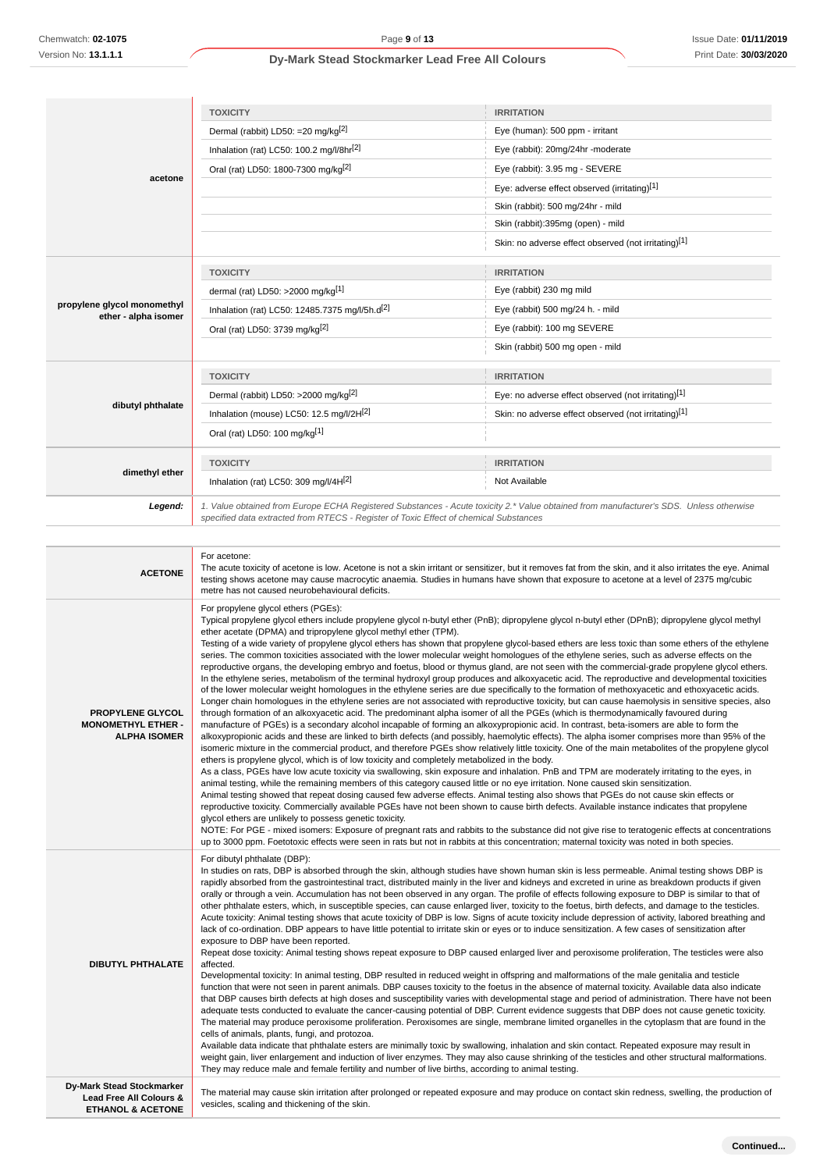|                                                     | <b>TOXICITY</b>                                                                                                                                                                                                                 | <b>IRRITATION</b>                                    |
|-----------------------------------------------------|---------------------------------------------------------------------------------------------------------------------------------------------------------------------------------------------------------------------------------|------------------------------------------------------|
|                                                     | Dermal (rabbit) LD50: = 20 mg/kg <sup>[2]</sup>                                                                                                                                                                                 | Eye (human): 500 ppm - irritant                      |
|                                                     | Inhalation (rat) LC50: 100.2 mg/l/8hr <sup>[2]</sup>                                                                                                                                                                            | Eye (rabbit): 20mg/24hr -moderate                    |
|                                                     | Oral (rat) LD50: 1800-7300 mg/kg <sup>[2]</sup>                                                                                                                                                                                 | Eye (rabbit): 3.95 mg - SEVERE                       |
| acetone                                             |                                                                                                                                                                                                                                 | Eye: adverse effect observed (irritating)[1]         |
|                                                     |                                                                                                                                                                                                                                 | Skin (rabbit): 500 mg/24hr - mild                    |
|                                                     |                                                                                                                                                                                                                                 | Skin (rabbit):395mg (open) - mild                    |
|                                                     |                                                                                                                                                                                                                                 | Skin: no adverse effect observed (not irritating)[1] |
|                                                     | <b>TOXICITY</b>                                                                                                                                                                                                                 | <b>IRRITATION</b>                                    |
|                                                     | dermal (rat) LD50: >2000 mg/kg <sup>[1]</sup>                                                                                                                                                                                   | Eye (rabbit) 230 mg mild                             |
| propylene glycol monomethyl<br>ether - alpha isomer | Inhalation (rat) LC50: 12485.7375 mg/l/5h.d <sup>[2]</sup>                                                                                                                                                                      | Eye (rabbit) 500 mg/24 h. - mild                     |
|                                                     | Oral (rat) LD50: 3739 mg/kg <sup>[2]</sup>                                                                                                                                                                                      | Eye (rabbit): 100 mg SEVERE                          |
|                                                     |                                                                                                                                                                                                                                 | Skin (rabbit) 500 mg open - mild                     |
|                                                     | <b>TOXICITY</b>                                                                                                                                                                                                                 | <b>IRRITATION</b>                                    |
|                                                     | Dermal (rabbit) LD50: >2000 mg/kg <sup>[2]</sup>                                                                                                                                                                                | Eye: no adverse effect observed (not irritating)[1]  |
| dibutyl phthalate                                   | Inhalation (mouse) LC50: 12.5 mg/l/2H[2]                                                                                                                                                                                        | Skin: no adverse effect observed (not irritating)[1] |
|                                                     | Oral (rat) LD50: 100 mg/kg[1]                                                                                                                                                                                                   |                                                      |
|                                                     | <b>TOXICITY</b>                                                                                                                                                                                                                 | <b>IRRITATION</b>                                    |
| dimethyl ether                                      | Inhalation (rat) LC50: 309 mg/l/4H[2]                                                                                                                                                                                           | Not Available                                        |
| Legend:                                             | 1. Value obtained from Europe ECHA Registered Substances - Acute toxicity 2.* Value obtained from manufacturer's SDS. Unless otherwise<br>specified data extracted from RTECS - Register of Toxic Effect of chemical Substances |                                                      |

| <b>ACETONE</b>                                                                       | For acetone:<br>The acute toxicity of acetone is low. Acetone is not a skin irritant or sensitizer, but it removes fat from the skin, and it also irritates the eye. Animal<br>testing shows acetone may cause macrocytic anaemia. Studies in humans have shown that exposure to acetone at a level of 2375 mg/cubic<br>metre has not caused neurobehavioural deficits.                                                                                                                                                                                                                                                                                                                                                                                                                                                                                                                                                                                                                                                                                                                                                                                                                                                                                                                                                                                                                                                                                                                                                                                                                                                                                                                                                                                                                                                                                                                                                                                                                                                                                                                                                                                                                                                                                                                                                                                                                                                                                                                                                                                                                                                                                                                                                                                                                                         |
|--------------------------------------------------------------------------------------|-----------------------------------------------------------------------------------------------------------------------------------------------------------------------------------------------------------------------------------------------------------------------------------------------------------------------------------------------------------------------------------------------------------------------------------------------------------------------------------------------------------------------------------------------------------------------------------------------------------------------------------------------------------------------------------------------------------------------------------------------------------------------------------------------------------------------------------------------------------------------------------------------------------------------------------------------------------------------------------------------------------------------------------------------------------------------------------------------------------------------------------------------------------------------------------------------------------------------------------------------------------------------------------------------------------------------------------------------------------------------------------------------------------------------------------------------------------------------------------------------------------------------------------------------------------------------------------------------------------------------------------------------------------------------------------------------------------------------------------------------------------------------------------------------------------------------------------------------------------------------------------------------------------------------------------------------------------------------------------------------------------------------------------------------------------------------------------------------------------------------------------------------------------------------------------------------------------------------------------------------------------------------------------------------------------------------------------------------------------------------------------------------------------------------------------------------------------------------------------------------------------------------------------------------------------------------------------------------------------------------------------------------------------------------------------------------------------------------------------------------------------------------------------------------------------------|
| <b>PROPYLENE GLYCOL</b><br><b>MONOMETHYL ETHER -</b><br><b>ALPHA ISOMER</b>          | For propylene glycol ethers (PGEs):<br>Typical propylene glycol ethers include propylene glycol n-butyl ether (PnB); dipropylene glycol n-butyl ether (DPnB); dipropylene glycol methyl<br>ether acetate (DPMA) and tripropylene glycol methyl ether (TPM).<br>Testing of a wide variety of propylene glycol ethers has shown that propylene glycol-based ethers are less toxic than some ethers of the ethylene<br>series. The common toxicities associated with the lower molecular weight homologues of the ethylene series, such as adverse effects on the<br>reproductive organs, the developing embryo and foetus, blood or thymus gland, are not seen with the commercial-grade propylene glycol ethers.<br>In the ethylene series, metabolism of the terminal hydroxyl group produces and alkoxyacetic acid. The reproductive and developmental toxicities<br>of the lower molecular weight homologues in the ethylene series are due specifically to the formation of methoxyacetic and ethoxyacetic acids.<br>Longer chain homologues in the ethylene series are not associated with reproductive toxicity, but can cause haemolysis in sensitive species, also<br>through formation of an alkoxyacetic acid. The predominant alpha isomer of all the PGEs (which is thermodynamically favoured during<br>manufacture of PGEs) is a secondary alcohol incapable of forming an alkoxypropionic acid. In contrast, beta-isomers are able to form the<br>alkoxypropionic acids and these are linked to birth defects (and possibly, haemolytic effects). The alpha isomer comprises more than 95% of the<br>isomeric mixture in the commercial product, and therefore PGEs show relatively little toxicity. One of the main metabolites of the propylene glycol<br>ethers is propylene glycol, which is of low toxicity and completely metabolized in the body.<br>As a class, PGEs have low acute toxicity via swallowing, skin exposure and inhalation. PnB and TPM are moderately irritating to the eyes, in<br>animal testing, while the remaining members of this category caused little or no eye irritation. None caused skin sensitization.<br>Animal testing showed that repeat dosing caused few adverse effects. Animal testing also shows that PGEs do not cause skin effects or<br>reproductive toxicity. Commercially available PGEs have not been shown to cause birth defects. Available instance indicates that propylene<br>glycol ethers are unlikely to possess genetic toxicity.<br>NOTE: For PGE - mixed isomers: Exposure of pregnant rats and rabbits to the substance did not give rise to teratogenic effects at concentrations<br>up to 3000 ppm. Foetotoxic effects were seen in rats but not in rabbits at this concentration; maternal toxicity was noted in both species. |
| <b>DIBUTYL PHTHALATE</b>                                                             | For dibutyl phthalate (DBP):<br>In studies on rats, DBP is absorbed through the skin, although studies have shown human skin is less permeable. Animal testing shows DBP is<br>rapidly absorbed from the gastrointestinal tract, distributed mainly in the liver and kidneys and excreted in urine as breakdown products if given<br>orally or through a vein. Accumulation has not been observed in any organ. The profile of effects following exposure to DBP is similar to that of<br>other phthalate esters, which, in susceptible species, can cause enlarged liver, toxicity to the foetus, birth defects, and damage to the testicles.<br>Acute toxicity: Animal testing shows that acute toxicity of DBP is low. Signs of acute toxicity include depression of activity, labored breathing and<br>lack of co-ordination. DBP appears to have little potential to irritate skin or eyes or to induce sensitization. A few cases of sensitization after<br>exposure to DBP have been reported.<br>Repeat dose toxicity: Animal testing shows repeat exposure to DBP caused enlarged liver and peroxisome proliferation, The testicles were also<br>affected.<br>Developmental toxicity: In animal testing, DBP resulted in reduced weight in offspring and malformations of the male genitalia and testicle<br>function that were not seen in parent animals. DBP causes toxicity to the foetus in the absence of maternal toxicity. Available data also indicate<br>that DBP causes birth defects at high doses and susceptibility varies with developmental stage and period of administration. There have not been<br>adequate tests conducted to evaluate the cancer-causing potential of DBP. Current evidence suggests that DBP does not cause genetic toxicity.<br>The material may produce peroxisome proliferation. Peroxisomes are single, membrane limited organelles in the cytoplasm that are found in the<br>cells of animals, plants, fungi, and protozoa.<br>Available data indicate that phthalate esters are minimally toxic by swallowing, inhalation and skin contact. Repeated exposure may result in<br>weight gain, liver enlargement and induction of liver enzymes. They may also cause shrinking of the testicles and other structural malformations.<br>They may reduce male and female fertility and number of live births, according to animal testing.                                                                                                                                                                                                                                                                                                                                                                                                                     |
| Dy-Mark Stead Stockmarker<br>Lead Free All Colours &<br><b>ETHANOL &amp; ACETONE</b> | The material may cause skin irritation after prolonged or repeated exposure and may produce on contact skin redness, swelling, the production of<br>vesicles, scaling and thickening of the skin.                                                                                                                                                                                                                                                                                                                                                                                                                                                                                                                                                                                                                                                                                                                                                                                                                                                                                                                                                                                                                                                                                                                                                                                                                                                                                                                                                                                                                                                                                                                                                                                                                                                                                                                                                                                                                                                                                                                                                                                                                                                                                                                                                                                                                                                                                                                                                                                                                                                                                                                                                                                                               |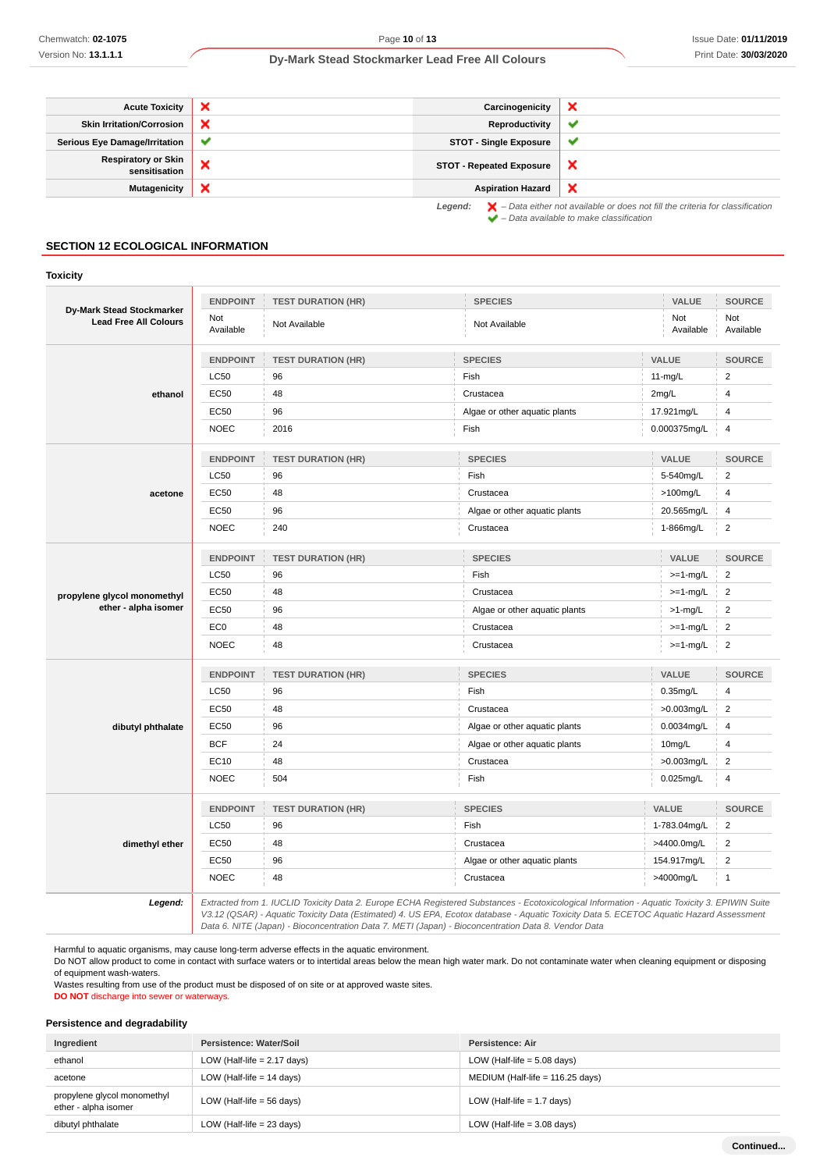| <b>Acute Toxicity</b>                       | × | Carcinogenicity                 | ×                                                                                                                                                                   |
|---------------------------------------------|---|---------------------------------|---------------------------------------------------------------------------------------------------------------------------------------------------------------------|
| <b>Skin Irritation/Corrosion</b>            | × | Reproductivity                  | v                                                                                                                                                                   |
| <b>Serious Eye Damage/Irritation</b>        | ✔ | <b>STOT - Single Exposure</b>   | $\checkmark$                                                                                                                                                        |
| <b>Respiratory or Skin</b><br>sensitisation | × | <b>STOT - Repeated Exposure</b> | ж                                                                                                                                                                   |
| Mutagenicity                                | × | <b>Aspiration Hazard</b>        | ×                                                                                                                                                                   |
|                                             |   | Legend:                         | $\blacktriangleright$ - Data either not available or does not fill the criteria for classification<br>$\blacktriangleright$ - Data available to make classification |

#### **SECTION 12 ECOLOGICAL INFORMATION**

#### **Toxicity**

|                                                           | <b>ENDPOINT</b>  | <b>TEST DURATION (HR)</b> | <b>SPECIES</b>                                                                                                                                                                                                                                                                           | VALUE            | <b>SOURCE</b>           |
|-----------------------------------------------------------|------------------|---------------------------|------------------------------------------------------------------------------------------------------------------------------------------------------------------------------------------------------------------------------------------------------------------------------------------|------------------|-------------------------|
| Dy-Mark Stead Stockmarker<br><b>Lead Free All Colours</b> | Not<br>Available | Not Available             | Not Available                                                                                                                                                                                                                                                                            | Not<br>Available | Not<br>Available        |
|                                                           | <b>ENDPOINT</b>  | <b>TEST DURATION (HR)</b> | <b>SPECIES</b>                                                                                                                                                                                                                                                                           | VALUE            | <b>SOURCE</b>           |
|                                                           | <b>LC50</b>      | 96                        | Fish                                                                                                                                                                                                                                                                                     | $11-mg/L$        | $\overline{2}$          |
| ethanol                                                   | <b>EC50</b>      | 48                        | Crustacea                                                                                                                                                                                                                                                                                | 2mg/L            | 4                       |
|                                                           | <b>EC50</b>      | 96                        | Algae or other aquatic plants                                                                                                                                                                                                                                                            | 17.921mg/L       | 4                       |
|                                                           | <b>NOEC</b>      | 2016                      | Fish                                                                                                                                                                                                                                                                                     | 0.000375mg/L     | $\overline{4}$          |
|                                                           | <b>ENDPOINT</b>  | <b>TEST DURATION (HR)</b> | <b>SPECIES</b>                                                                                                                                                                                                                                                                           | VALUE            | <b>SOURCE</b>           |
|                                                           | <b>LC50</b>      | 96                        | Fish                                                                                                                                                                                                                                                                                     | 5-540mg/L        | $\overline{2}$          |
| acetone                                                   | <b>EC50</b>      | 48                        | Crustacea                                                                                                                                                                                                                                                                                | >100mg/L         | 4                       |
|                                                           | EC50             | 96                        | Algae or other aquatic plants                                                                                                                                                                                                                                                            | 20.565mg/L       | $\overline{\mathbf{4}}$ |
|                                                           | <b>NOEC</b>      | 240                       | Crustacea                                                                                                                                                                                                                                                                                | 1-866mg/L        | $\boldsymbol{2}$        |
|                                                           | <b>ENDPOINT</b>  | <b>TEST DURATION (HR)</b> | <b>SPECIES</b>                                                                                                                                                                                                                                                                           | VALUE            | <b>SOURCE</b>           |
|                                                           | LC50             | 96                        | Fish                                                                                                                                                                                                                                                                                     | $>=1-mg/L$       | $\boldsymbol{2}$        |
| propylene glycol monomethyl                               | <b>EC50</b>      | 48                        | Crustacea                                                                                                                                                                                                                                                                                | $>=1-mg/L$       | $\overline{\mathbf{c}}$ |
| ether - alpha isomer                                      | <b>EC50</b>      | 96                        | Algae or other aquatic plants                                                                                                                                                                                                                                                            | $>1$ -mg/L       | 2                       |
|                                                           | EC <sub>0</sub>  | 48                        | Crustacea                                                                                                                                                                                                                                                                                | $>=1$ -mg/L      | $\boldsymbol{2}$        |
|                                                           | <b>NOEC</b>      | 48                        | Crustacea                                                                                                                                                                                                                                                                                | $>=1-mg/L$       | $\overline{2}$          |
|                                                           | <b>ENDPOINT</b>  | <b>TEST DURATION (HR)</b> | <b>SPECIES</b>                                                                                                                                                                                                                                                                           | VALUE            | <b>SOURCE</b>           |
|                                                           | <b>LC50</b>      | 96                        | Fish                                                                                                                                                                                                                                                                                     | 0.35mg/L         | $\overline{4}$          |
|                                                           | <b>EC50</b>      | 48                        | Crustacea                                                                                                                                                                                                                                                                                | $>0.003$ mg/L    | $\overline{2}$          |
| dibutyl phthalate                                         | <b>EC50</b>      | 96                        | Algae or other aquatic plants                                                                                                                                                                                                                                                            | 0.0034mg/L       | 4                       |
|                                                           | <b>BCF</b>       | 24                        | Algae or other aquatic plants                                                                                                                                                                                                                                                            | 10mg/L           | $\overline{4}$          |
|                                                           | EC10             | 48                        | Crustacea                                                                                                                                                                                                                                                                                | $>0.003$ mg/L    | $\overline{2}$          |
|                                                           | <b>NOEC</b>      | 504                       | Fish                                                                                                                                                                                                                                                                                     | $0.025$ mg/L     | 4                       |
|                                                           | <b>ENDPOINT</b>  | <b>TEST DURATION (HR)</b> | <b>SPECIES</b>                                                                                                                                                                                                                                                                           | VALUE            | <b>SOURCE</b>           |
|                                                           | <b>LC50</b>      | 96                        | Fish                                                                                                                                                                                                                                                                                     | 1-783.04mg/L     | $\overline{2}$          |
| dimethyl ether                                            | <b>EC50</b>      | 48                        | Crustacea                                                                                                                                                                                                                                                                                | >4400.0mg/L      | $\overline{2}$          |
|                                                           | EC50             | 96                        | Algae or other aquatic plants                                                                                                                                                                                                                                                            | 154.917mg/L      | $\overline{2}$          |
|                                                           | <b>NOEC</b>      | 48                        | Crustacea                                                                                                                                                                                                                                                                                | >4000mg/L        | $\mathbf{1}$            |
| Legend:                                                   |                  |                           | Extracted from 1. IUCLID Toxicity Data 2. Europe ECHA Registered Substances - Ecotoxicological Information - Aquatic Toxicity 3. EPIWIN Suite<br>V3.12 (QSAR) - Aquatic Toxicity Data (Estimated) 4. US EPA, Ecotox database - Aquatic Toxicity Data 5. ECETOC Aquatic Hazard Assessment |                  |                         |

Data 6. NITE (Japan) - Bioconcentration Data 7. METI (Japan) - Bioconcentration Data 8. Vendor Data

Harmful to aquatic organisms, may cause long-term adverse effects in the aquatic environment.

Do NOT allow product to come in contact with surface waters or to intertidal areas below the mean high water mark. Do not contaminate water when cleaning equipment or disposing of equipment wash-waters.

Wastes resulting from use of the product must be disposed of on site or at approved waste sites.

**DO NOT** discharge into sewer or waterways.

#### **Persistence and degradability**

| Ingredient                                          | Persistence: Water/Soil       | Persistence: Air                   |
|-----------------------------------------------------|-------------------------------|------------------------------------|
| ethanol                                             | LOW (Half-life $= 2.17$ days) | LOW (Half-life $= 5.08$ days)      |
| acetone                                             | LOW (Half-life $= 14$ days)   | MEDIUM (Half-life = $116.25$ days) |
| propylene glycol monomethyl<br>ether - alpha isomer | LOW (Half-life $= 56$ days)   | LOW (Half-life $= 1.7$ days)       |
| dibutyl phthalate                                   | LOW (Half-life $= 23$ days)   | LOW (Half-life $=$ 3.08 days)      |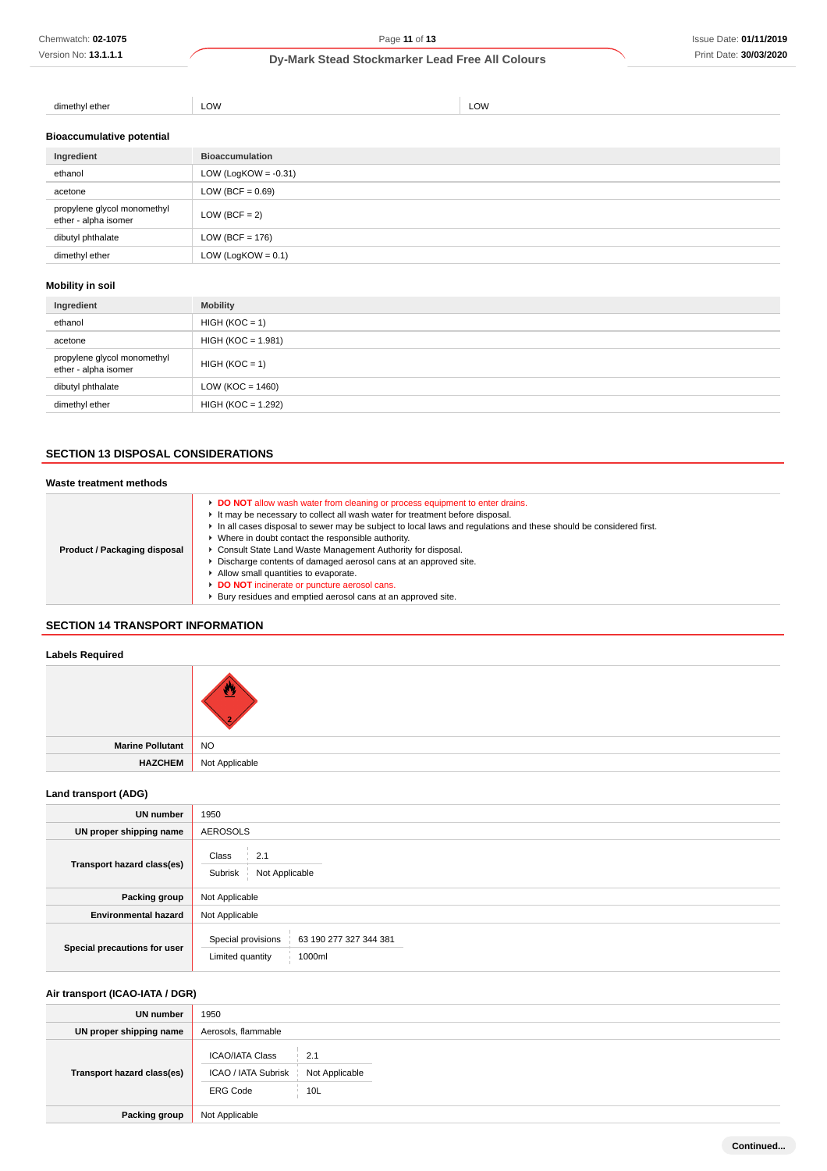# **Dy-Mark Stead Stockmarker Lead Free All Colours**

| ether<br>n oth<br>וור<br>$11$ $\rightarrow$ $11$ $\rightarrow$ $1$<br>$\cdots$ | WC | ומנ |
|--------------------------------------------------------------------------------|----|-----|
|                                                                                |    |     |

**Bioaccumulative potential**

| Ingredient                                          | <b>Bioaccumulation</b>  |
|-----------------------------------------------------|-------------------------|
| ethanol                                             | LOW (LogKOW = $-0.31$ ) |
| acetone                                             | LOW (BCF = $0.69$ )     |
| propylene glycol monomethyl<br>ether - alpha isomer | LOW (BCF = $2$ )        |
| dibutyl phthalate                                   | LOW (BCF = $176$ )      |
| dimethyl ether                                      | LOW (LogKOW = $0.1$ )   |

# **Mobility in soil**

| Ingredient                                          | <b>Mobility</b>      |
|-----------------------------------------------------|----------------------|
| ethanol                                             | $HIGH (KOC = 1)$     |
| acetone                                             | $HIGH (KOC = 1.981)$ |
| propylene glycol monomethyl<br>ether - alpha isomer | $HIGH (KOC = 1)$     |
| dibutyl phthalate                                   | LOW ( $KOC = 1460$ ) |
| dimethyl ether                                      | HIGH (KOC = 1.292)   |

# **SECTION 13 DISPOSAL CONSIDERATIONS**

| Waste treatment methods      |                                                                                                                                                                                                                                                                                                                                                                                                                                                                                                                                                                                                                                 |
|------------------------------|---------------------------------------------------------------------------------------------------------------------------------------------------------------------------------------------------------------------------------------------------------------------------------------------------------------------------------------------------------------------------------------------------------------------------------------------------------------------------------------------------------------------------------------------------------------------------------------------------------------------------------|
| Product / Packaging disposal | DO NOT allow wash water from cleaning or process equipment to enter drains.<br>It may be necessary to collect all wash water for treatment before disposal.<br>In all cases disposal to sewer may be subject to local laws and regulations and these should be considered first.<br>▶ Where in doubt contact the responsible authority.<br>Consult State Land Waste Management Authority for disposal.<br>Discharge contents of damaged aerosol cans at an approved site.<br>Allow small quantities to evaporate.<br>DO NOT incinerate or puncture aerosol cans.<br>Bury residues and emptied aerosol cans at an approved site. |

# **SECTION 14 TRANSPORT INFORMATION**

## **Labels Required**

| Marine Pollutant NO |                               |
|---------------------|-------------------------------|
|                     | <b>HAZCHEM</b> Not Applicable |
|                     |                               |

# **Land transport (ADG)**

| <b>UN number</b>             | 1950                                                                       |  |  |
|------------------------------|----------------------------------------------------------------------------|--|--|
| UN proper shipping name      | <b>AEROSOLS</b>                                                            |  |  |
| Transport hazard class(es)   | Class<br>2.1<br>Subrisk<br>Not Applicable                                  |  |  |
| Packing group                | Not Applicable                                                             |  |  |
| <b>Environmental hazard</b>  | Not Applicable                                                             |  |  |
| Special precautions for user | Special provisions<br>63 190 277 327 344 381<br>Limited quantity<br>1000ml |  |  |

# **Air transport (ICAO-IATA / DGR)**

| <b>UN number</b>           | 1950                                                                                             |
|----------------------------|--------------------------------------------------------------------------------------------------|
| UN proper shipping name    | Aerosols, flammable                                                                              |
| Transport hazard class(es) | <b>ICAO/IATA Class</b><br>2.1<br>ICAO / IATA Subrisk<br>Not Applicable<br>10L<br><b>ERG Code</b> |
| Packing group              | Not Applicable                                                                                   |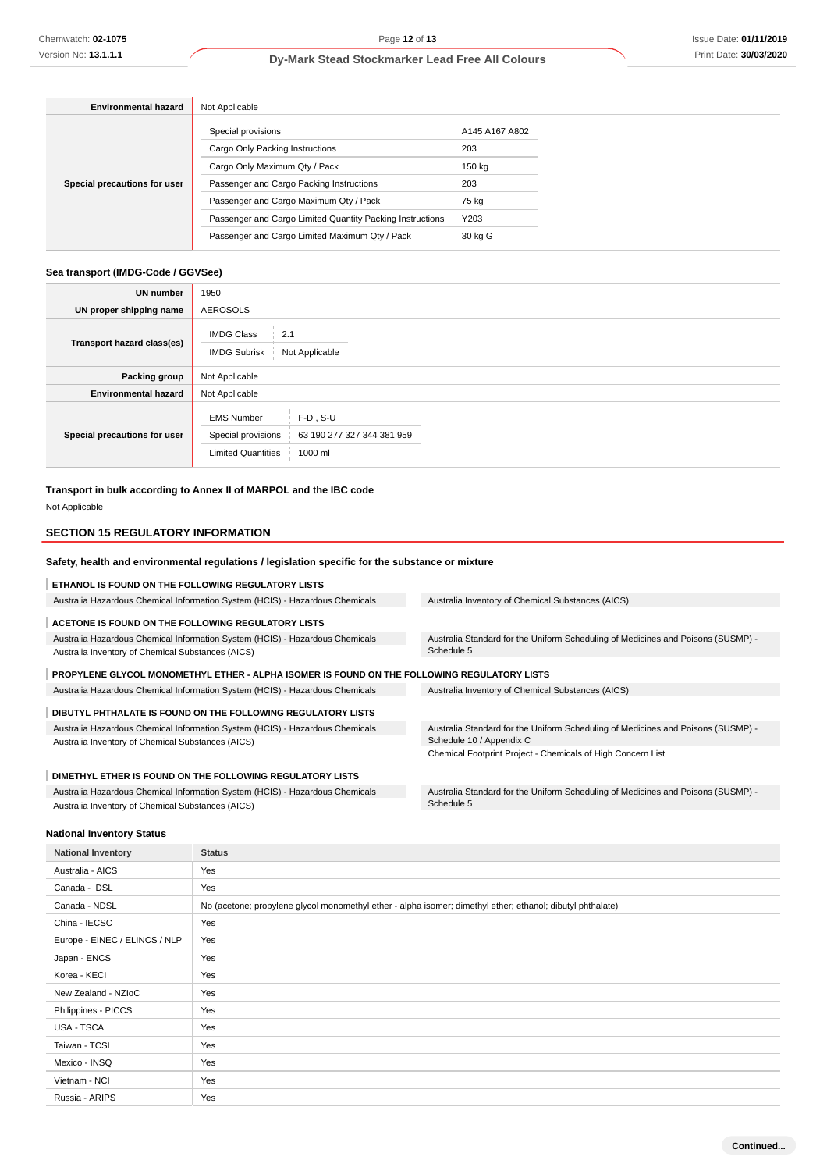# **Dy-Mark Stead Stockmarker Lead Free All Colours**

| <b>Environmental hazard</b>  | Not Applicable                                            |                |  |
|------------------------------|-----------------------------------------------------------|----------------|--|
|                              | Special provisions                                        | A145 A167 A802 |  |
| Special precautions for user | Cargo Only Packing Instructions                           | 203            |  |
|                              | Cargo Only Maximum Qty / Pack                             | 150 kg         |  |
|                              | Passenger and Cargo Packing Instructions                  | 203            |  |
|                              | Passenger and Cargo Maximum Qty / Pack                    | 75 kg          |  |
|                              | Passenger and Cargo Limited Quantity Packing Instructions | Y203           |  |
|                              | Passenger and Cargo Limited Maximum Qty / Pack            | 30 kg G        |  |

#### **Sea transport (IMDG-Code / GGVSee)**

| <b>UN number</b>             | 1950                                                                                                                         |  |  |
|------------------------------|------------------------------------------------------------------------------------------------------------------------------|--|--|
| UN proper shipping name      | <b>AEROSOLS</b>                                                                                                              |  |  |
| Transport hazard class(es)   | <b>IMDG Class</b><br>2.1<br>Not Applicable<br><b>IMDG Subrisk</b>                                                            |  |  |
| <b>Packing group</b>         | Not Applicable                                                                                                               |  |  |
| <b>Environmental hazard</b>  | Not Applicable                                                                                                               |  |  |
| Special precautions for user | <b>EMS Number</b><br>$F-D$ . S-U<br>Special provisions<br>63 190 277 327 344 381 959<br><b>Limited Quantities</b><br>1000 ml |  |  |

**Transport in bulk according to Annex II of MARPOL and the IBC code**

Not Applicable

## **SECTION 15 REGULATORY INFORMATION**

### **Safety, health and environmental regulations / legislation specific for the substance or mixture**

| <b>ETHANOL IS FOUND ON THE FOLLOWING REGULATORY LISTS</b>                                   |                                                                                  |
|---------------------------------------------------------------------------------------------|----------------------------------------------------------------------------------|
| Australia Hazardous Chemical Information System (HCIS) - Hazardous Chemicals                | Australia Inventory of Chemical Substances (AICS)                                |
| ACETONE IS FOUND ON THE FOLLOWING REGULATORY LISTS                                          |                                                                                  |
| Australia Hazardous Chemical Information System (HCIS) - Hazardous Chemicals                | Australia Standard for the Uniform Scheduling of Medicines and Poisons (SUSMP) - |
| Australia Inventory of Chemical Substances (AICS)                                           | Schedule 5                                                                       |
| PROPYLENE GLYCOL MONOMETHYL ETHER - ALPHA ISOMER IS FOUND ON THE FOLLOWING REGULATORY LISTS |                                                                                  |
| Australia Hazardous Chemical Information System (HCIS) - Hazardous Chemicals                | Australia Inventory of Chemical Substances (AICS)                                |
| DIBUTYL PHTHALATE IS FOUND ON THE FOLLOWING REGULATORY LISTS                                |                                                                                  |
| Australia Hazardous Chemical Information System (HCIS) - Hazardous Chemicals                | Australia Standard for the Uniform Scheduling of Medicines and Poisons (SUSMP) - |
| Australia Inventory of Chemical Substances (AICS)                                           | Schedule 10 / Appendix C                                                         |

**DIMETHYL ETHER IS FOUND ON THE FOLLOWING REGULATORY LISTS**

Australia Hazardous Chemical Information System (HCIS) - Hazardous Chemicals Australia Inventory of Chemical Substances (AICS)

Chemical Footprint Project - Chemicals of High Concern List

Australia Standard for the Uniform Scheduling of Medicines and Poisons (SUSMP) - Schedule 5

#### **National Inventory Status**

| <b>National Inventory</b>     | <b>Status</b>                                                                                              |
|-------------------------------|------------------------------------------------------------------------------------------------------------|
| Australia - AICS              | Yes                                                                                                        |
| Canada - DSL                  | Yes                                                                                                        |
| Canada - NDSL                 | No (acetone; propylene glycol monomethyl ether - alpha isomer; dimethyl ether; ethanol; dibutyl phthalate) |
| China - IECSC                 | Yes                                                                                                        |
| Europe - EINEC / ELINCS / NLP | Yes                                                                                                        |
| Japan - ENCS                  | Yes                                                                                                        |
| Korea - KECI                  | Yes                                                                                                        |
| New Zealand - NZIoC           | Yes                                                                                                        |
| Philippines - PICCS           | Yes                                                                                                        |
| USA - TSCA                    | Yes                                                                                                        |
| Taiwan - TCSI                 | Yes                                                                                                        |
| Mexico - INSQ                 | Yes                                                                                                        |
| Vietnam - NCI                 | Yes                                                                                                        |
| Russia - ARIPS                | Yes                                                                                                        |